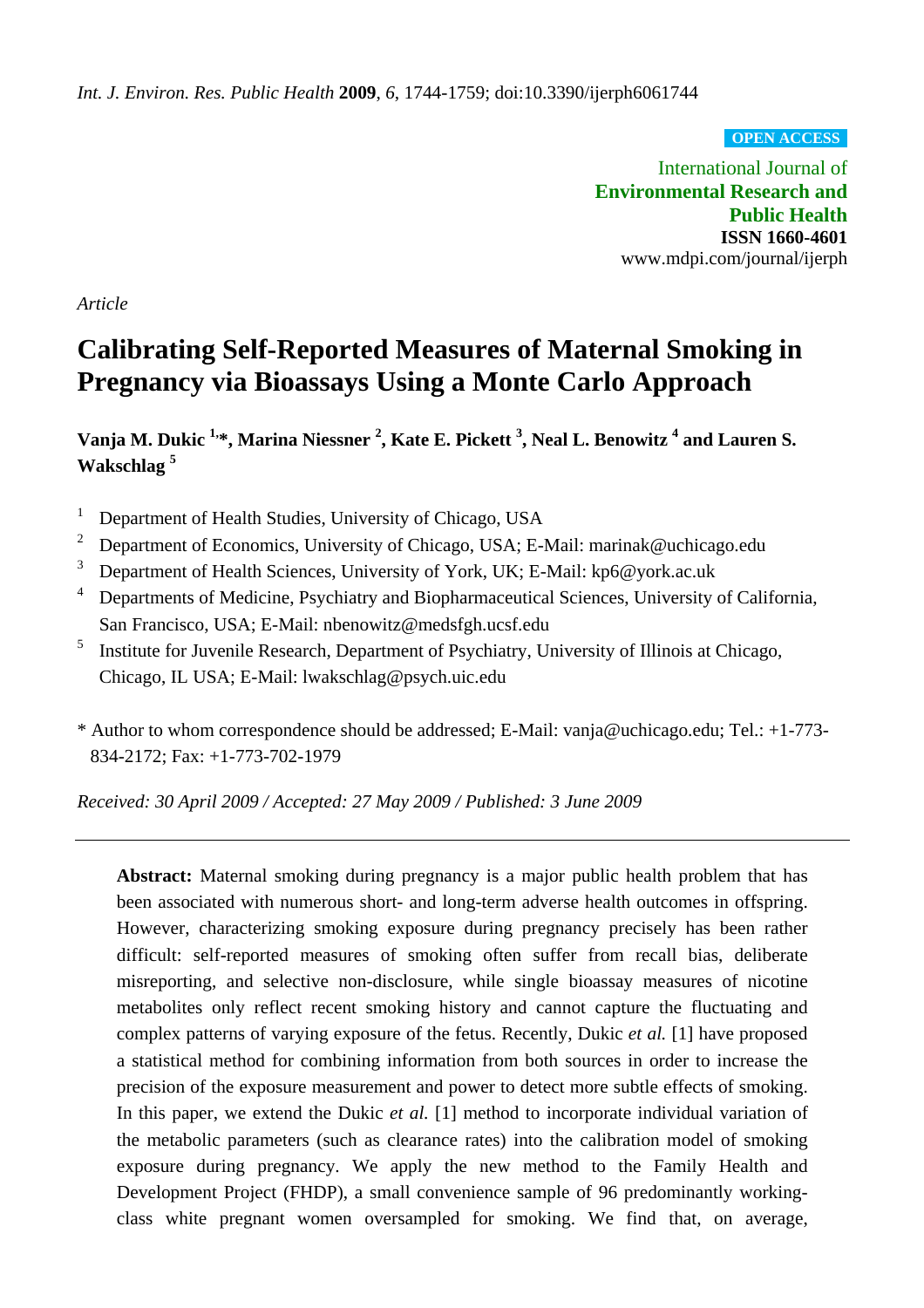**OPEN ACCESS**

International Journal of **Environmental Research and Public Health ISSN 1660-4601** www.mdpi.com/journal/ijerph

*Article*

# **Calibrating Self-Reported Measures of Maternal Smoking in Pregnancy via Bioassays Using a Monte Carlo Approach**

**Vanja M. Dukic 1,\*, Marina Niessner 2 , Kate E. Pickett 3 , Neal L. Benowitz 4 and Lauren S. Wakschlag 5** 

1 Department of Health Studies, University of Chicago, USA

- 2 Department of Economics, University of Chicago, USA; E-Mail: marinak@uchicago.edu
- 3 Department of Health Sciences, University of York, UK; E-Mail: kp6@york.ac.uk
- 4 Departments of Medicine, Psychiatry and Biopharmaceutical Sciences, University of California, San Francisco, USA; E-Mail: nbenowitz@medsfgh.ucsf.edu
- 5 Institute for Juvenile Research, Department of Psychiatry, University of Illinois at Chicago, Chicago, IL USA; E-Mail: lwakschlag@psych.uic.edu
- \* Author to whom correspondence should be addressed; E-Mail: vanja@uchicago.edu; Tel.: +1-773- 834-2172; Fax: +1-773-702-1979

*Received: 30 April 2009 / Accepted: 27 May 2009 / Published: 3 June 2009* 

**Abstract:** Maternal smoking during pregnancy is a major public health problem that has been associated with numerous short- and long-term adverse health outcomes in offspring. However, characterizing smoking exposure during pregnancy precisely has been rather difficult: self-reported measures of smoking often suffer from recall bias, deliberate misreporting, and selective non-disclosure, while single bioassay measures of nicotine metabolites only reflect recent smoking history and cannot capture the fluctuating and complex patterns of varying exposure of the fetus. Recently, Dukic *et al.* [1] have proposed a statistical method for combining information from both sources in order to increase the precision of the exposure measurement and power to detect more subtle effects of smoking. In this paper, we extend the Dukic *et al.* [1] method to incorporate individual variation of the metabolic parameters (such as clearance rates) into the calibration model of smoking exposure during pregnancy. We apply the new method to the Family Health and Development Project (FHDP), a small convenience sample of 96 predominantly workingclass white pregnant women oversampled for smoking. We find that, on average,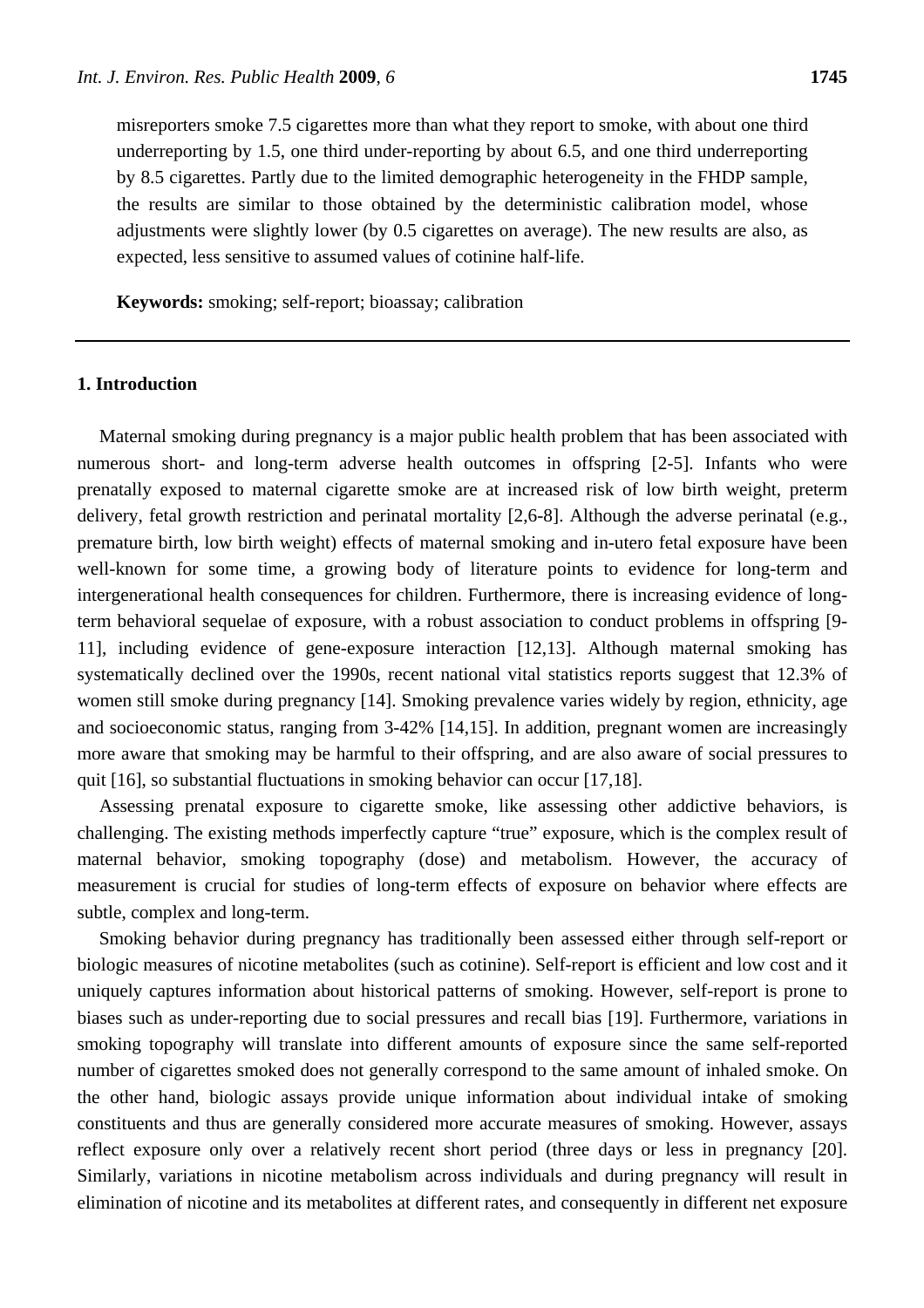misreporters smoke 7.5 cigarettes more than what they report to smoke, with about one third underreporting by 1.5, one third under-reporting by about 6.5, and one third underreporting by 8.5 cigarettes. Partly due to the limited demographic heterogeneity in the FHDP sample, the results are similar to those obtained by the deterministic calibration model, whose adjustments were slightly lower (by 0.5 cigarettes on average). The new results are also, as expected, less sensitive to assumed values of cotinine half-life.

**Keywords:** smoking; self-report; bioassay; calibration

## **1. Introduction**

Maternal smoking during pregnancy is a major public health problem that has been associated with numerous short- and long-term adverse health outcomes in offspring [2-5]. Infants who were prenatally exposed to maternal cigarette smoke are at increased risk of low birth weight, preterm delivery, fetal growth restriction and perinatal mortality [2,6-8]. Although the adverse perinatal (e.g., premature birth, low birth weight) effects of maternal smoking and in-utero fetal exposure have been well-known for some time, a growing body of literature points to evidence for long-term and intergenerational health consequences for children. Furthermore, there is increasing evidence of longterm behavioral sequelae of exposure, with a robust association to conduct problems in offspring [9- 11], including evidence of gene-exposure interaction [12,13]. Although maternal smoking has systematically declined over the 1990s, recent national vital statistics reports suggest that 12.3% of women still smoke during pregnancy [14]. Smoking prevalence varies widely by region, ethnicity, age and socioeconomic status, ranging from 3-42% [14,15]. In addition, pregnant women are increasingly more aware that smoking may be harmful to their offspring, and are also aware of social pressures to quit [16], so substantial fluctuations in smoking behavior can occur [17,18].

Assessing prenatal exposure to cigarette smoke, like assessing other addictive behaviors, is challenging. The existing methods imperfectly capture "true" exposure, which is the complex result of maternal behavior, smoking topography (dose) and metabolism. However, the accuracy of measurement is crucial for studies of long-term effects of exposure on behavior where effects are subtle, complex and long-term.

Smoking behavior during pregnancy has traditionally been assessed either through self-report or biologic measures of nicotine metabolites (such as cotinine). Self-report is efficient and low cost and it uniquely captures information about historical patterns of smoking. However, self-report is prone to biases such as under-reporting due to social pressures and recall bias [19]. Furthermore, variations in smoking topography will translate into different amounts of exposure since the same self-reported number of cigarettes smoked does not generally correspond to the same amount of inhaled smoke. On the other hand, biologic assays provide unique information about individual intake of smoking constituents and thus are generally considered more accurate measures of smoking. However, assays reflect exposure only over a relatively recent short period (three days or less in pregnancy [20]. Similarly, variations in nicotine metabolism across individuals and during pregnancy will result in elimination of nicotine and its metabolites at different rates, and consequently in different net exposure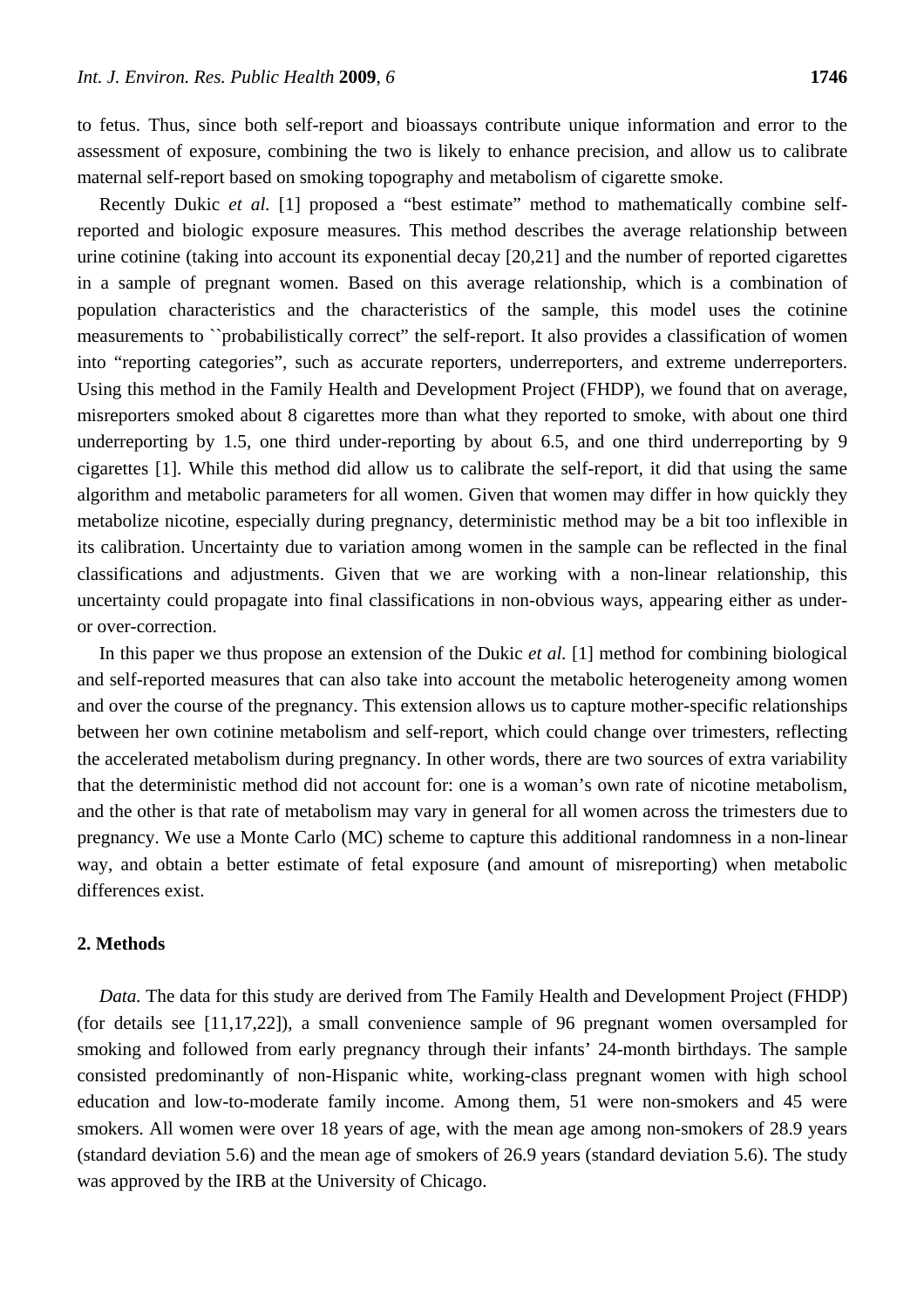to fetus. Thus, since both self-report and bioassays contribute unique information and error to the assessment of exposure, combining the two is likely to enhance precision, and allow us to calibrate maternal self-report based on smoking topography and metabolism of cigarette smoke.

Recently Dukic *et al.* [1] proposed a "best estimate" method to mathematically combine selfreported and biologic exposure measures. This method describes the average relationship between urine cotinine (taking into account its exponential decay [20,21] and the number of reported cigarettes in a sample of pregnant women. Based on this average relationship, which is a combination of population characteristics and the characteristics of the sample, this model uses the cotinine measurements to ``probabilistically correct" the self-report. It also provides a classification of women into "reporting categories", such as accurate reporters, underreporters, and extreme underreporters. Using this method in the Family Health and Development Project (FHDP), we found that on average, misreporters smoked about 8 cigarettes more than what they reported to smoke, with about one third underreporting by 1.5, one third under-reporting by about 6.5, and one third underreporting by 9 cigarettes [1]. While this method did allow us to calibrate the self-report, it did that using the same algorithm and metabolic parameters for all women. Given that women may differ in how quickly they metabolize nicotine, especially during pregnancy, deterministic method may be a bit too inflexible in its calibration. Uncertainty due to variation among women in the sample can be reflected in the final classifications and adjustments. Given that we are working with a non-linear relationship, this uncertainty could propagate into final classifications in non-obvious ways, appearing either as underor over-correction.

In this paper we thus propose an extension of the Dukic *et al.* [1] method for combining biological and self-reported measures that can also take into account the metabolic heterogeneity among women and over the course of the pregnancy. This extension allows us to capture mother-specific relationships between her own cotinine metabolism and self-report, which could change over trimesters, reflecting the accelerated metabolism during pregnancy. In other words, there are two sources of extra variability that the deterministic method did not account for: one is a woman's own rate of nicotine metabolism, and the other is that rate of metabolism may vary in general for all women across the trimesters due to pregnancy. We use a Monte Carlo (MC) scheme to capture this additional randomness in a non-linear way, and obtain a better estimate of fetal exposure (and amount of misreporting) when metabolic differences exist.

## **2. Methods**

*Data.* The data for this study are derived from The Family Health and Development Project (FHDP) (for details see [11,17,22]), a small convenience sample of 96 pregnant women oversampled for smoking and followed from early pregnancy through their infants' 24-month birthdays. The sample consisted predominantly of non-Hispanic white, working-class pregnant women with high school education and low-to-moderate family income. Among them, 51 were non-smokers and 45 were smokers. All women were over 18 years of age, with the mean age among non-smokers of 28.9 years (standard deviation 5.6) and the mean age of smokers of 26.9 years (standard deviation 5.6). The study was approved by the IRB at the University of Chicago.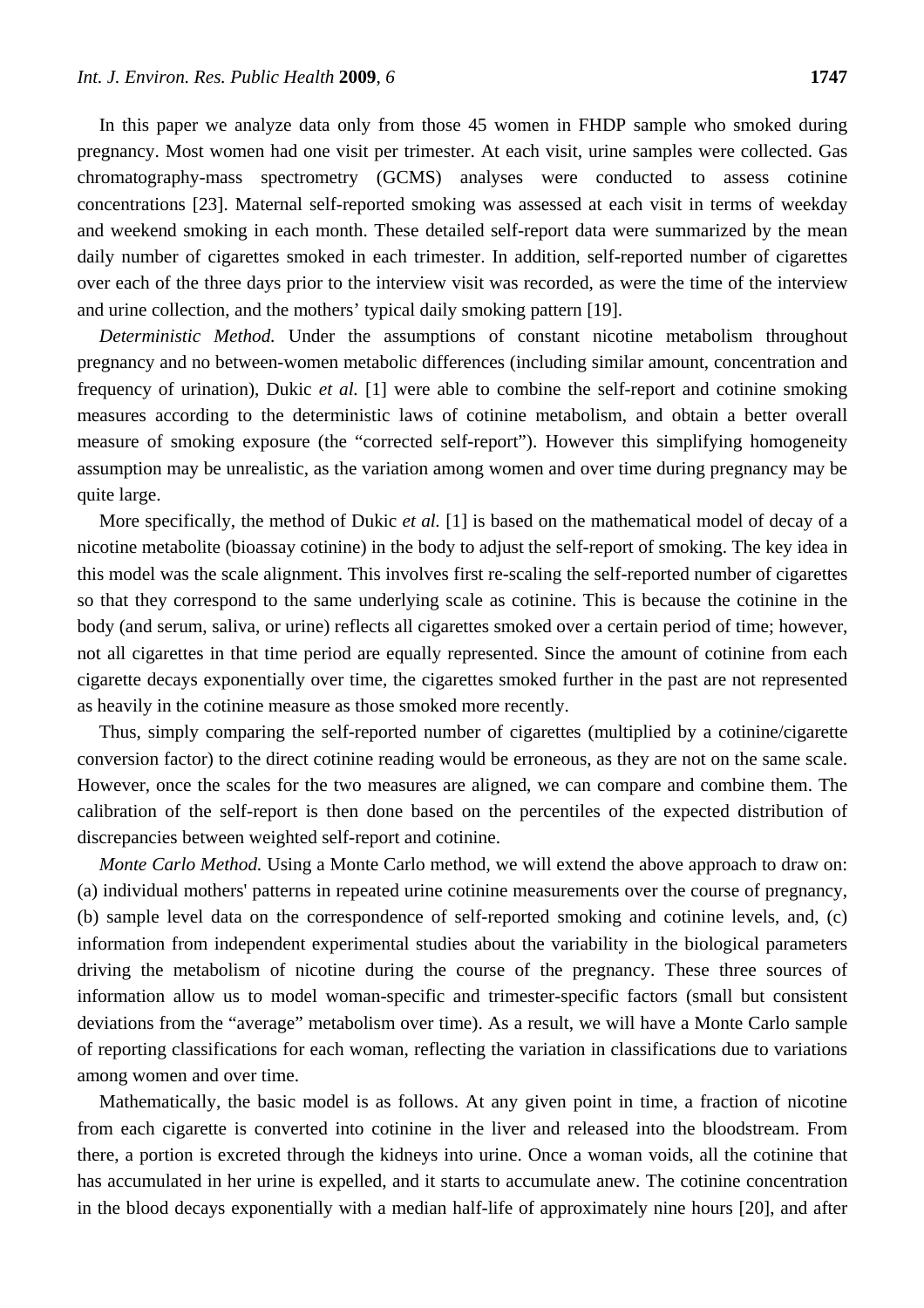In this paper we analyze data only from those 45 women in FHDP sample who smoked during pregnancy. Most women had one visit per trimester. At each visit, urine samples were collected. Gas chromatography-mass spectrometry (GCMS) analyses were conducted to assess cotinine concentrations [23]. Maternal self-reported smoking was assessed at each visit in terms of weekday and weekend smoking in each month. These detailed self-report data were summarized by the mean daily number of cigarettes smoked in each trimester. In addition, self-reported number of cigarettes over each of the three days prior to the interview visit was recorded, as were the time of the interview and urine collection, and the mothers' typical daily smoking pattern [19].

*Deterministic Method.* Under the assumptions of constant nicotine metabolism throughout pregnancy and no between-women metabolic differences (including similar amount, concentration and frequency of urination), Dukic *et al.* [1] were able to combine the self-report and cotinine smoking measures according to the deterministic laws of cotinine metabolism, and obtain a better overall measure of smoking exposure (the "corrected self-report"). However this simplifying homogeneity assumption may be unrealistic, as the variation among women and over time during pregnancy may be quite large.

More specifically, the method of Dukic *et al.* [1] is based on the mathematical model of decay of a nicotine metabolite (bioassay cotinine) in the body to adjust the self-report of smoking. The key idea in this model was the scale alignment. This involves first re-scaling the self-reported number of cigarettes so that they correspond to the same underlying scale as cotinine. This is because the cotinine in the body (and serum, saliva, or urine) reflects all cigarettes smoked over a certain period of time; however, not all cigarettes in that time period are equally represented. Since the amount of cotinine from each cigarette decays exponentially over time, the cigarettes smoked further in the past are not represented as heavily in the cotinine measure as those smoked more recently.

Thus, simply comparing the self-reported number of cigarettes (multiplied by a cotinine/cigarette conversion factor) to the direct cotinine reading would be erroneous, as they are not on the same scale. However, once the scales for the two measures are aligned, we can compare and combine them. The calibration of the self-report is then done based on the percentiles of the expected distribution of discrepancies between weighted self-report and cotinine.

*Monte Carlo Method.* Using a Monte Carlo method, we will extend the above approach to draw on: (a) individual mothers' patterns in repeated urine cotinine measurements over the course of pregnancy, (b) sample level data on the correspondence of self-reported smoking and cotinine levels, and, (c) information from independent experimental studies about the variability in the biological parameters driving the metabolism of nicotine during the course of the pregnancy. These three sources of information allow us to model woman-specific and trimester-specific factors (small but consistent deviations from the "average" metabolism over time). As a result, we will have a Monte Carlo sample of reporting classifications for each woman, reflecting the variation in classifications due to variations among women and over time.

Mathematically, the basic model is as follows. At any given point in time, a fraction of nicotine from each cigarette is converted into cotinine in the liver and released into the bloodstream. From there, a portion is excreted through the kidneys into urine. Once a woman voids, all the cotinine that has accumulated in her urine is expelled, and it starts to accumulate anew. The cotinine concentration in the blood decays exponentially with a median half-life of approximately nine hours [20], and after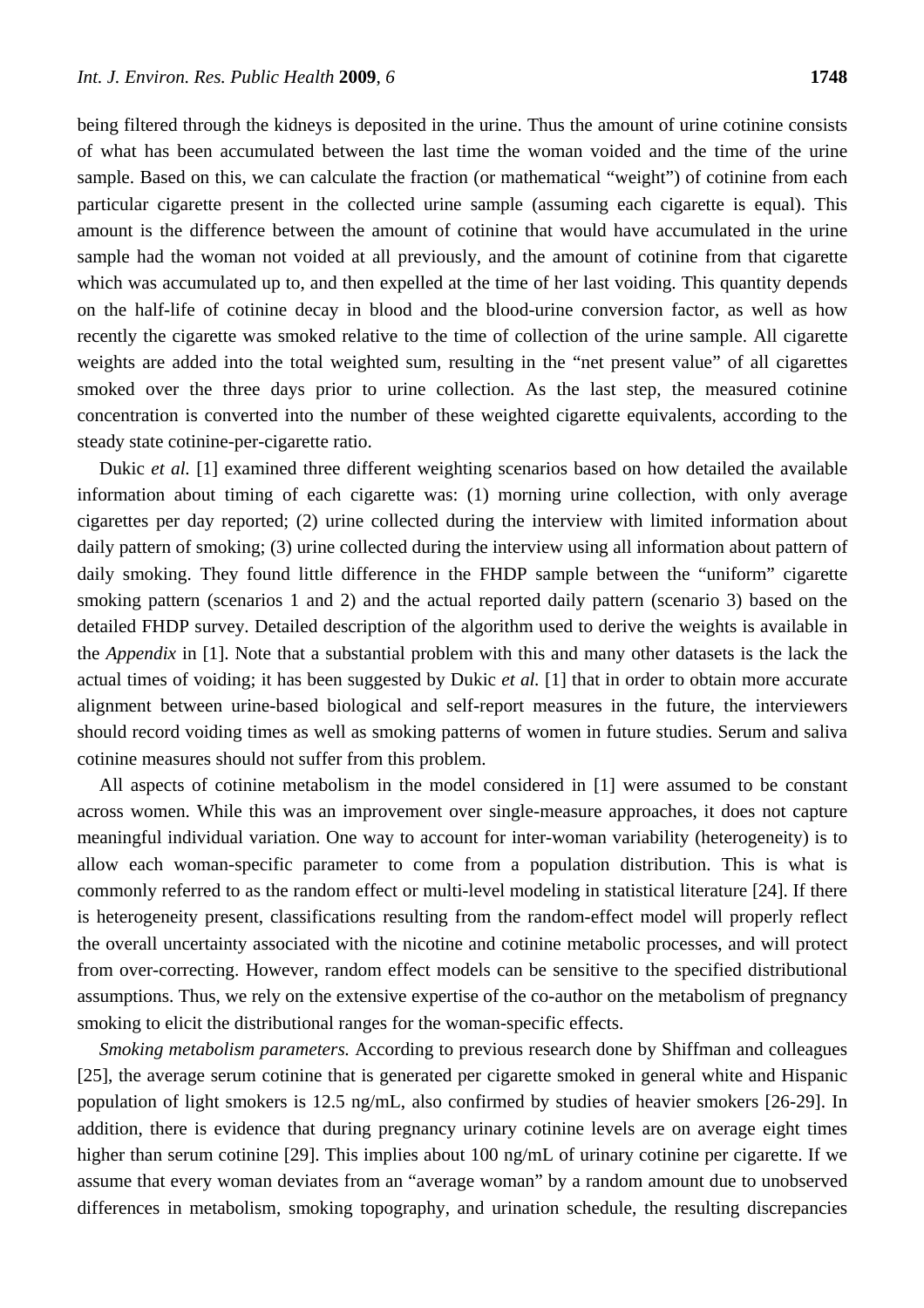being filtered through the kidneys is deposited in the urine. Thus the amount of urine cotinine consists of what has been accumulated between the last time the woman voided and the time of the urine sample. Based on this, we can calculate the fraction (or mathematical "weight") of cotinine from each particular cigarette present in the collected urine sample (assuming each cigarette is equal). This amount is the difference between the amount of cotinine that would have accumulated in the urine sample had the woman not voided at all previously, and the amount of cotinine from that cigarette which was accumulated up to, and then expelled at the time of her last voiding. This quantity depends on the half-life of cotinine decay in blood and the blood-urine conversion factor, as well as how recently the cigarette was smoked relative to the time of collection of the urine sample. All cigarette weights are added into the total weighted sum, resulting in the "net present value" of all cigarettes smoked over the three days prior to urine collection. As the last step, the measured cotinine concentration is converted into the number of these weighted cigarette equivalents, according to the steady state cotinine-per-cigarette ratio.

Dukic *et al.* [1] examined three different weighting scenarios based on how detailed the available information about timing of each cigarette was: (1) morning urine collection, with only average cigarettes per day reported; (2) urine collected during the interview with limited information about daily pattern of smoking; (3) urine collected during the interview using all information about pattern of daily smoking. They found little difference in the FHDP sample between the "uniform" cigarette smoking pattern (scenarios 1 and 2) and the actual reported daily pattern (scenario 3) based on the detailed FHDP survey. Detailed description of the algorithm used to derive the weights is available in the *Appendix* in [1]. Note that a substantial problem with this and many other datasets is the lack the actual times of voiding; it has been suggested by Dukic *et al.* [1] that in order to obtain more accurate alignment between urine-based biological and self-report measures in the future, the interviewers should record voiding times as well as smoking patterns of women in future studies. Serum and saliva cotinine measures should not suffer from this problem.

All aspects of cotinine metabolism in the model considered in [1] were assumed to be constant across women. While this was an improvement over single-measure approaches, it does not capture meaningful individual variation. One way to account for inter-woman variability (heterogeneity) is to allow each woman-specific parameter to come from a population distribution. This is what is commonly referred to as the random effect or multi-level modeling in statistical literature [24]. If there is heterogeneity present, classifications resulting from the random-effect model will properly reflect the overall uncertainty associated with the nicotine and cotinine metabolic processes, and will protect from over-correcting. However, random effect models can be sensitive to the specified distributional assumptions. Thus, we rely on the extensive expertise of the co-author on the metabolism of pregnancy smoking to elicit the distributional ranges for the woman-specific effects.

*Smoking metabolism parameters.* According to previous research done by Shiffman and colleagues [25], the average serum cotinine that is generated per cigarette smoked in general white and Hispanic population of light smokers is 12.5 ng/mL, also confirmed by studies of heavier smokers [26-29]. In addition, there is evidence that during pregnancy urinary cotinine levels are on average eight times higher than serum cotinine [29]. This implies about 100 ng/mL of urinary cotinine per cigarette. If we assume that every woman deviates from an "average woman" by a random amount due to unobserved differences in metabolism, smoking topography, and urination schedule, the resulting discrepancies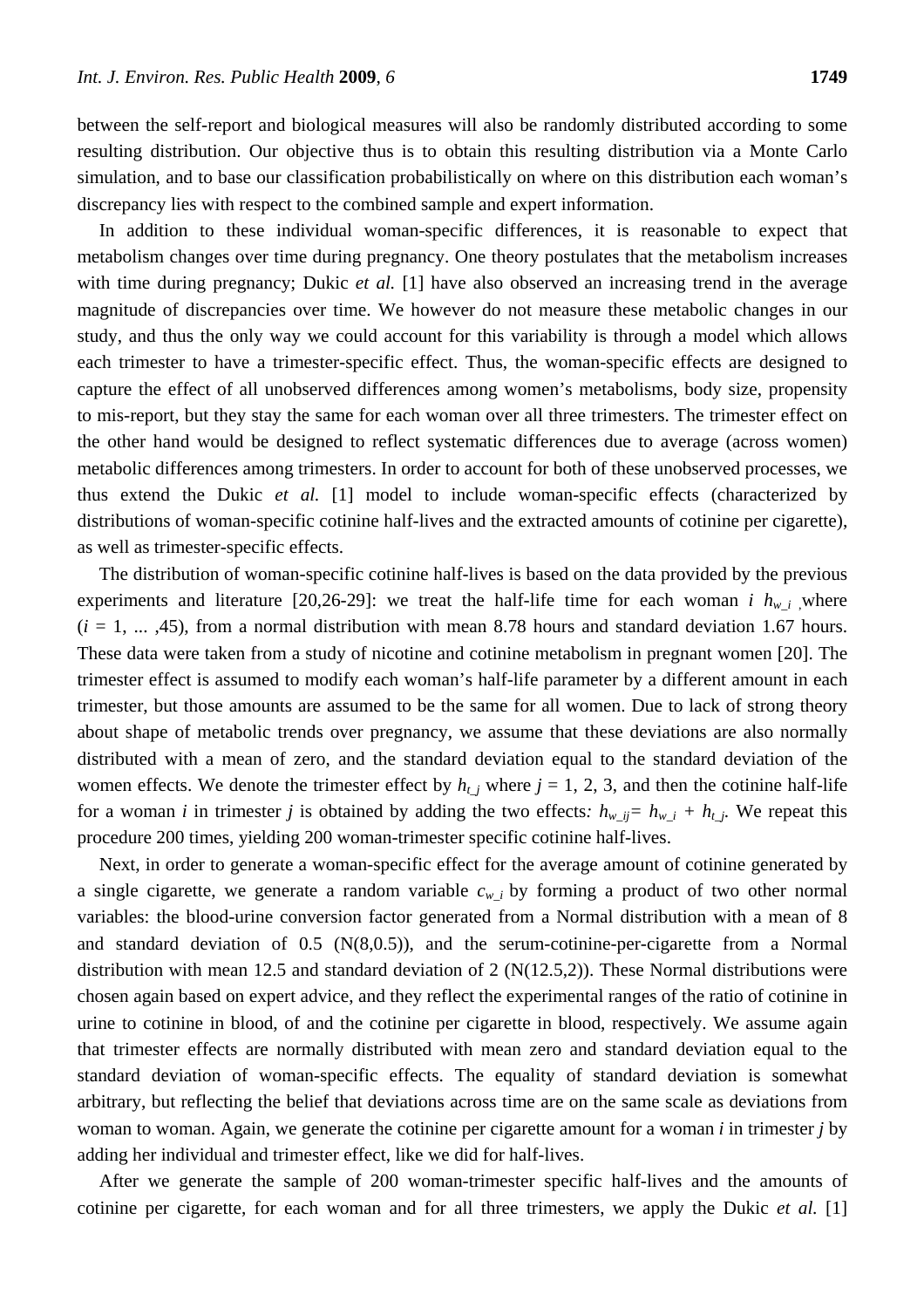between the self-report and biological measures will also be randomly distributed according to some resulting distribution. Our objective thus is to obtain this resulting distribution via a Monte Carlo simulation, and to base our classification probabilistically on where on this distribution each woman's discrepancy lies with respect to the combined sample and expert information.

In addition to these individual woman-specific differences, it is reasonable to expect that metabolism changes over time during pregnancy. One theory postulates that the metabolism increases with time during pregnancy; Dukic *et al.* [1] have also observed an increasing trend in the average magnitude of discrepancies over time. We however do not measure these metabolic changes in our study, and thus the only way we could account for this variability is through a model which allows each trimester to have a trimester-specific effect. Thus, the woman-specific effects are designed to capture the effect of all unobserved differences among women's metabolisms, body size, propensity to mis-report, but they stay the same for each woman over all three trimesters. The trimester effect on the other hand would be designed to reflect systematic differences due to average (across women) metabolic differences among trimesters. In order to account for both of these unobserved processes, we thus extend the Dukic *et al.* [1] model to include woman-specific effects (characterized by distributions of woman-specific cotinine half-lives and the extracted amounts of cotinine per cigarette), as well as trimester-specific effects.

The distribution of woman-specific cotinine half-lives is based on the data provided by the previous experiments and literature [20,26-29]: we treat the half-life time for each woman *i*  $h_{w_i}$ , where  $(i = 1, \ldots, 45)$ , from a normal distribution with mean 8.78 hours and standard deviation 1.67 hours. These data were taken from a study of nicotine and cotinine metabolism in pregnant women [20]. The trimester effect is assumed to modify each woman's half-life parameter by a different amount in each trimester, but those amounts are assumed to be the same for all women. Due to lack of strong theory about shape of metabolic trends over pregnancy, we assume that these deviations are also normally distributed with a mean of zero, and the standard deviation equal to the standard deviation of the women effects. We denote the trimester effect by  $h_{t}$  *j* where  $j = 1, 2, 3$ , and then the cotinine half-life for a woman *i* in trimester *j* is obtained by adding the two effects:  $h_{w_{-}ij} = h_{w_{-}i} + h_{t_{-}j}$ . We repeat this procedure 200 times, yielding 200 woman-trimester specific cotinine half-lives.

Next, in order to generate a woman-specific effect for the average amount of cotinine generated by a single cigarette, we generate a random variable  $c_{w_i}$  by forming a product of two other normal variables: the blood-urine conversion factor generated from a Normal distribution with a mean of 8 and standard deviation of  $0.5$  (N $(8,0.5)$ ), and the serum-cotinine-per-cigarette from a Normal distribution with mean 12.5 and standard deviation of 2 ( $N(12.5,2)$ ). These Normal distributions were chosen again based on expert advice, and they reflect the experimental ranges of the ratio of cotinine in urine to cotinine in blood, of and the cotinine per cigarette in blood, respectively. We assume again that trimester effects are normally distributed with mean zero and standard deviation equal to the standard deviation of woman-specific effects. The equality of standard deviation is somewhat arbitrary, but reflecting the belief that deviations across time are on the same scale as deviations from woman to woman. Again, we generate the cotinine per cigarette amount for a woman *i* in trimester *j* by adding her individual and trimester effect, like we did for half-lives.

After we generate the sample of 200 woman-trimester specific half-lives and the amounts of cotinine per cigarette, for each woman and for all three trimesters, we apply the Dukic *et al.* [1]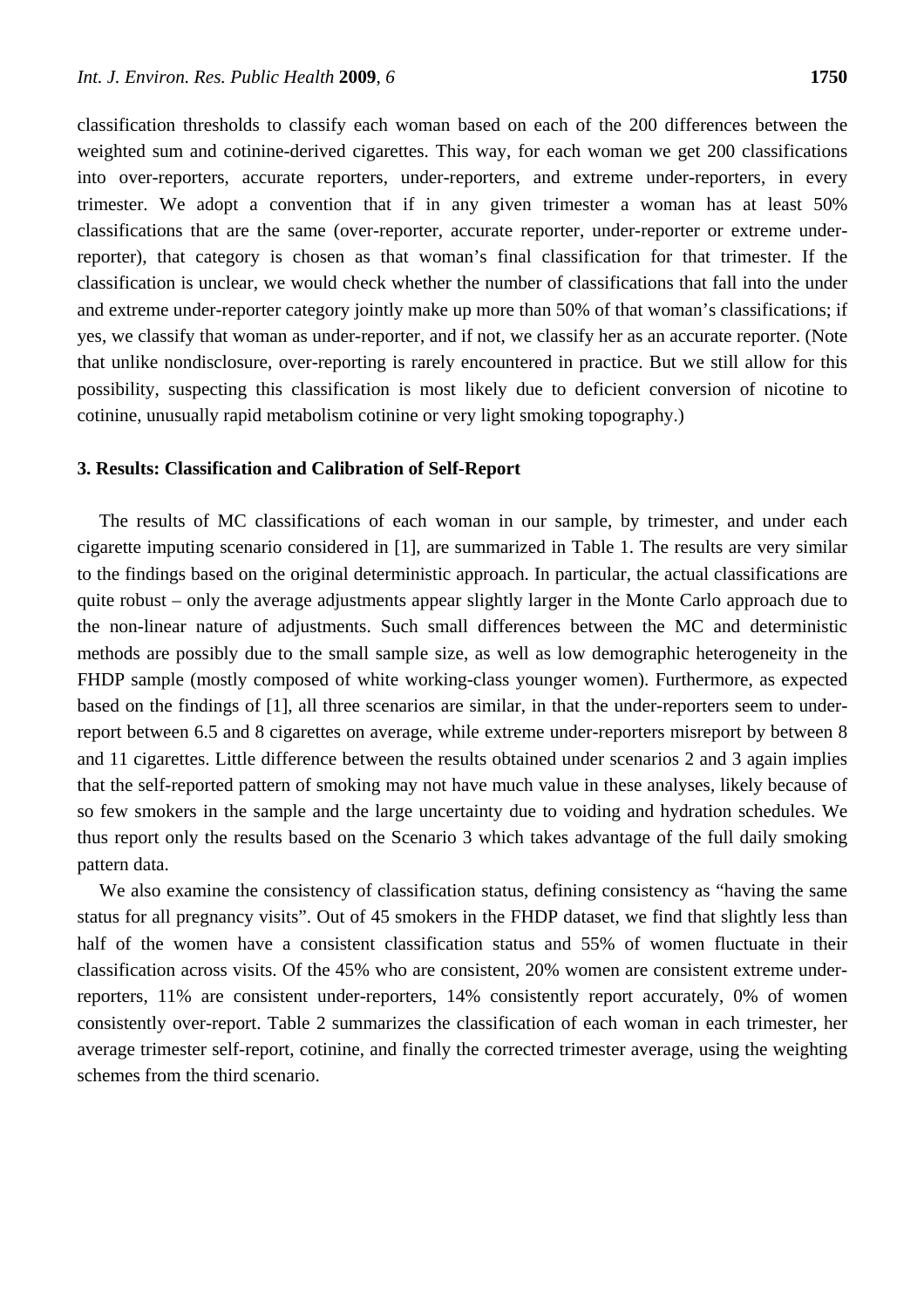classification thresholds to classify each woman based on each of the 200 differences between the weighted sum and cotinine-derived cigarettes. This way, for each woman we get 200 classifications into over-reporters, accurate reporters, under-reporters, and extreme under-reporters, in every trimester. We adopt a convention that if in any given trimester a woman has at least 50% classifications that are the same (over-reporter, accurate reporter, under-reporter or extreme underreporter), that category is chosen as that woman's final classification for that trimester. If the classification is unclear, we would check whether the number of classifications that fall into the under and extreme under-reporter category jointly make up more than 50% of that woman's classifications; if yes, we classify that woman as under-reporter, and if not, we classify her as an accurate reporter. (Note that unlike nondisclosure, over-reporting is rarely encountered in practice. But we still allow for this possibility, suspecting this classification is most likely due to deficient conversion of nicotine to cotinine, unusually rapid metabolism cotinine or very light smoking topography.)

### **3. Results: Classification and Calibration of Self-Report**

The results of MC classifications of each woman in our sample, by trimester, and under each cigarette imputing scenario considered in [1], are summarized in Table 1. The results are very similar to the findings based on the original deterministic approach. In particular, the actual classifications are quite robust – only the average adjustments appear slightly larger in the Monte Carlo approach due to the non-linear nature of adjustments. Such small differences between the MC and deterministic methods are possibly due to the small sample size, as well as low demographic heterogeneity in the FHDP sample (mostly composed of white working-class younger women). Furthermore, as expected based on the findings of [1], all three scenarios are similar, in that the under-reporters seem to underreport between 6.5 and 8 cigarettes on average, while extreme under-reporters misreport by between 8 and 11 cigarettes. Little difference between the results obtained under scenarios 2 and 3 again implies that the self-reported pattern of smoking may not have much value in these analyses, likely because of so few smokers in the sample and the large uncertainty due to voiding and hydration schedules. We thus report only the results based on the Scenario 3 which takes advantage of the full daily smoking pattern data.

We also examine the consistency of classification status, defining consistency as "having the same status for all pregnancy visits". Out of 45 smokers in the FHDP dataset, we find that slightly less than half of the women have a consistent classification status and 55% of women fluctuate in their classification across visits. Of the 45% who are consistent, 20% women are consistent extreme underreporters, 11% are consistent under-reporters, 14% consistently report accurately, 0% of women consistently over-report. Table 2 summarizes the classification of each woman in each trimester, her average trimester self-report, cotinine, and finally the corrected trimester average, using the weighting schemes from the third scenario.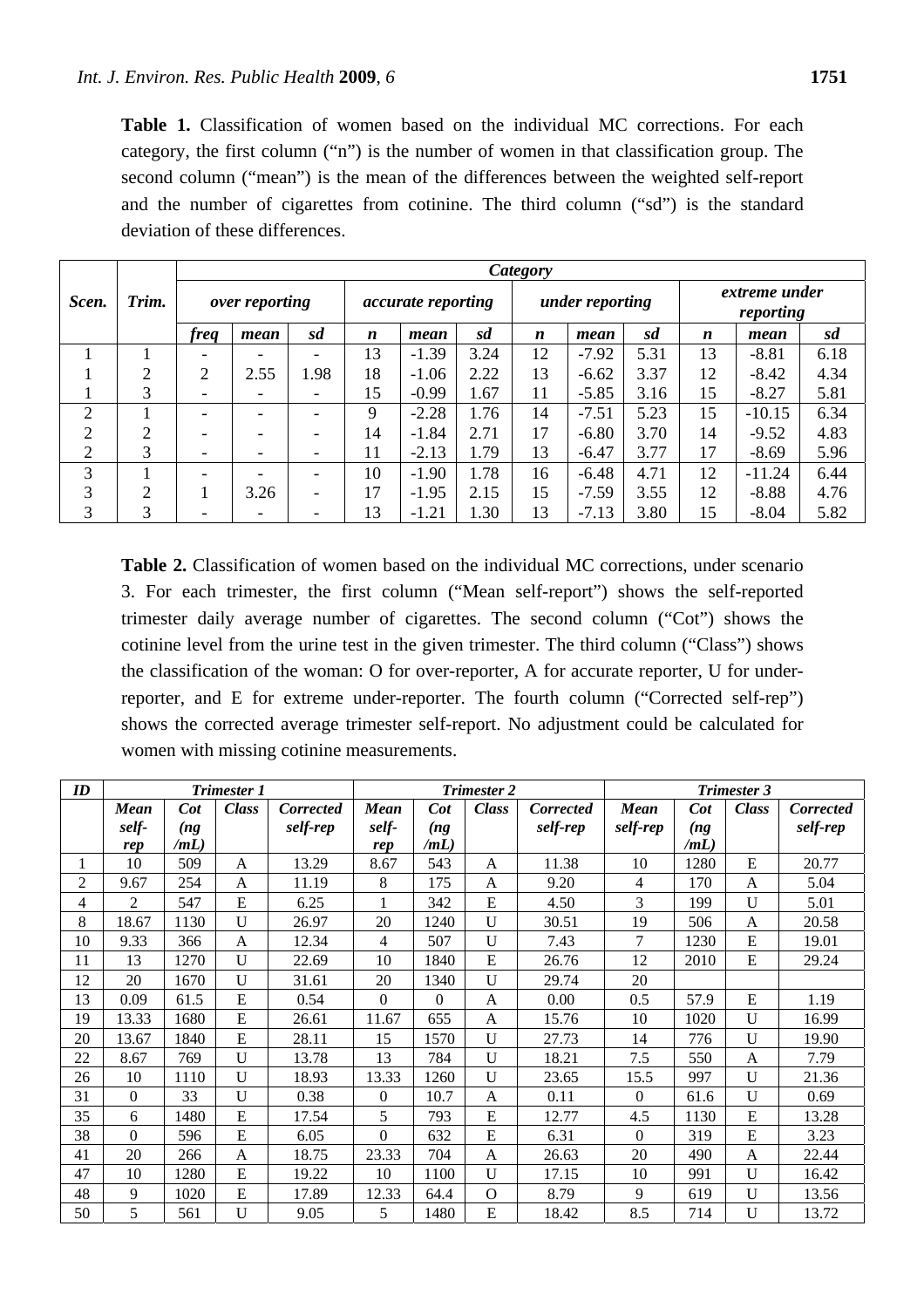**Table 1.** Classification of women based on the individual MC corrections. For each category, the first column ("n") is the number of women in that classification group. The second column ("mean") is the mean of the differences between the weighted self-report and the number of cigarettes from cotinine. The third column ("sd") is the standard deviation of these differences.

|                |       | Category                 |      |      |                           |         |      |                  |         |      |                            |          |      |
|----------------|-------|--------------------------|------|------|---------------------------|---------|------|------------------|---------|------|----------------------------|----------|------|
| Scen.          | Trim. | <i>over reporting</i>    |      |      | <i>accurate reporting</i> |         |      | under reporting  |         |      | extreme under<br>reporting |          |      |
|                |       | <i>freq</i>              | mean | sd   | n                         | mean    | sd   | $\boldsymbol{n}$ | mean    | sd   | $\boldsymbol{n}$           | mean     | sd   |
|                |       |                          |      |      | 13                        | $-1.39$ | 3.24 | 12               | $-7.92$ | 5.31 | 13                         | $-8.81$  | 6.18 |
|                | ↑     | 2                        | 2.55 | 1.98 | 18                        | $-1.06$ | 2.22 | 13               | $-6.62$ | 3.37 | 12                         | $-8.42$  | 4.34 |
|                | 3     | $\overline{\phantom{0}}$ |      |      | 15                        | $-0.99$ | 1.67 | 11               | $-5.85$ | 3.16 | 15                         | $-8.27$  | 5.81 |
| $\overline{2}$ |       |                          |      |      | 9                         | $-2.28$ | l.76 | 14               | $-7.51$ | 5.23 | 15                         | $-10.15$ | 6.34 |
| $\overline{2}$ | ⌒     |                          |      |      | 14                        | $-1.84$ | 2.71 | 17               | $-6.80$ | 3.70 | 14                         | $-9.52$  | 4.83 |
| $\overline{2}$ | 3     | $\overline{\phantom{a}}$ |      |      | 11                        | $-2.13$ | 1.79 | 13               | $-6.47$ | 3.77 | 17                         | $-8.69$  | 5.96 |
| 3              |       |                          |      |      | 10                        | $-1.90$ | 1.78 | 16               | $-6.48$ | 4.71 | 12                         | $-11.24$ | 6.44 |
| 3              | 2     |                          | 3.26 |      | 17                        | $-1.95$ | 2.15 | 15               | $-7.59$ | 3.55 | 12                         | $-8.88$  | 4.76 |
| 3              | 3     |                          |      |      | 13                        | $-1.21$ | 1.30 | 13               | $-7.13$ | 3.80 | 15                         | $-8.04$  | 5.82 |

**Table 2.** Classification of women based on the individual MC corrections, under scenario 3. For each trimester, the first column ("Mean self-report") shows the self-reported trimester daily average number of cigarettes. The second column ("Cot") shows the cotinine level from the urine test in the given trimester. The third column ("Class") shows the classification of the woman: O for over-reporter, A for accurate reporter, U for underreporter, and E for extreme under-reporter. The fourth column ("Corrected self-rep") shows the corrected average trimester self-report. No adjustment could be calculated for women with missing cotinine measurements.

| ID             | <b>Trimester 1</b> |        |              |           | <b>Trimester 2</b> |          |              |                  | <b>Trimester 3</b> |                 |              |                  |
|----------------|--------------------|--------|--------------|-----------|--------------------|----------|--------------|------------------|--------------------|-----------------|--------------|------------------|
|                | <b>Mean</b>        | $\cot$ | <b>Class</b> | Corrected | Mean               | $\cot$   | <b>Class</b> | <b>Corrected</b> | <b>Mean</b>        | $\mathbf{C}$ ot | <b>Class</b> | <b>Corrected</b> |
|                | self-              | (ng)   |              | self-rep  | self-              | (ng)     |              | self-rep         | self-rep           | (ng             |              | self-rep         |
|                | rep                | /mL)   |              |           | rep                | /mL)     |              |                  |                    | /mL)            |              |                  |
|                | 10                 | 509    | A            | 13.29     | 8.67               | 543      | A            | 11.38            | 10                 | 1280            | E            | 20.77            |
| $\overline{c}$ | 9.67               | 254    | A            | 11.19     | 8                  | 175      | A            | 9.20             | 4                  | 170             | A            | 5.04             |
| 4              | $\overline{2}$     | 547    | E            | 6.25      |                    | 342      | E            | 4.50             | 3                  | 199             | U            | 5.01             |
| 8              | 18.67              | 1130   | $\mathbf U$  | 26.97     | 20                 | 1240     | U            | 30.51            | 19                 | 506             | A            | 20.58            |
| 10             | 9.33               | 366    | A            | 12.34     | 4                  | 507      | $\mathbf{U}$ | 7.43             | 7                  | 1230            | E            | 19.01            |
| 11             | 13                 | 1270   | $\mathbf U$  | 22.69     | 10                 | 1840     | E            | 26.76            | 12                 | 2010            | E            | 29.24            |
| 12             | 20                 | 1670   | $\mathbf U$  | 31.61     | 20                 | 1340     | $\mathbf U$  | 29.74            | 20                 |                 |              |                  |
| 13             | 0.09               | 61.5   | E            | 0.54      | $\boldsymbol{0}$   | $\theta$ | A            | 0.00             | 0.5                | 57.9            | E            | 1.19             |
| 19             | 13.33              | 1680   | E            | 26.61     | 11.67              | 655      | A            | 15.76            | 10                 | 1020            | U            | 16.99            |
| 20             | 13.67              | 1840   | E            | 28.11     | 15                 | 1570     | U            | 27.73            | 14                 | 776             | U            | 19.90            |
| 22             | 8.67               | 769    | $\mathbf U$  | 13.78     | 13                 | 784      | U            | 18.21            | 7.5                | 550             | A            | 7.79             |
| 26             | 10                 | 1110   | $\mathbf U$  | 18.93     | 13.33              | 1260     | $\mathbf U$  | 23.65            | 15.5               | 997             | U            | 21.36            |
| 31             | $\Omega$           | 33     | $\mathbf{U}$ | 0.38      | $\overline{0}$     | 10.7     | A            | 0.11             | $\theta$           | 61.6            | $\mathbf{U}$ | 0.69             |
| 35             | 6                  | 1480   | E            | 17.54     | 5                  | 793      | E            | 12.77            | 4.5                | 1130            | E            | 13.28            |
| 38             | $\Omega$           | 596    | E            | 6.05      | $\Omega$           | 632      | E            | 6.31             | $\Omega$           | 319             | E            | 3.23             |
| 41             | 20                 | 266    | A            | 18.75     | 23.33              | 704      | A            | 26.63            | 20                 | 490             | A            | 22.44            |
| 47             | 10                 | 1280   | E            | 19.22     | 10                 | 1100     | U            | 17.15            | 10                 | 991             | U            | 16.42            |
| 48             | 9                  | 1020   | E            | 17.89     | 12.33              | 64.4     | $\Omega$     | 8.79             | 9                  | 619             | U            | 13.56            |
| 50             | 5                  | 561    | $\mathbf{U}$ | 9.05      | 5                  | 1480     | E            | 18.42            | 8.5                | 714             | U            | 13.72            |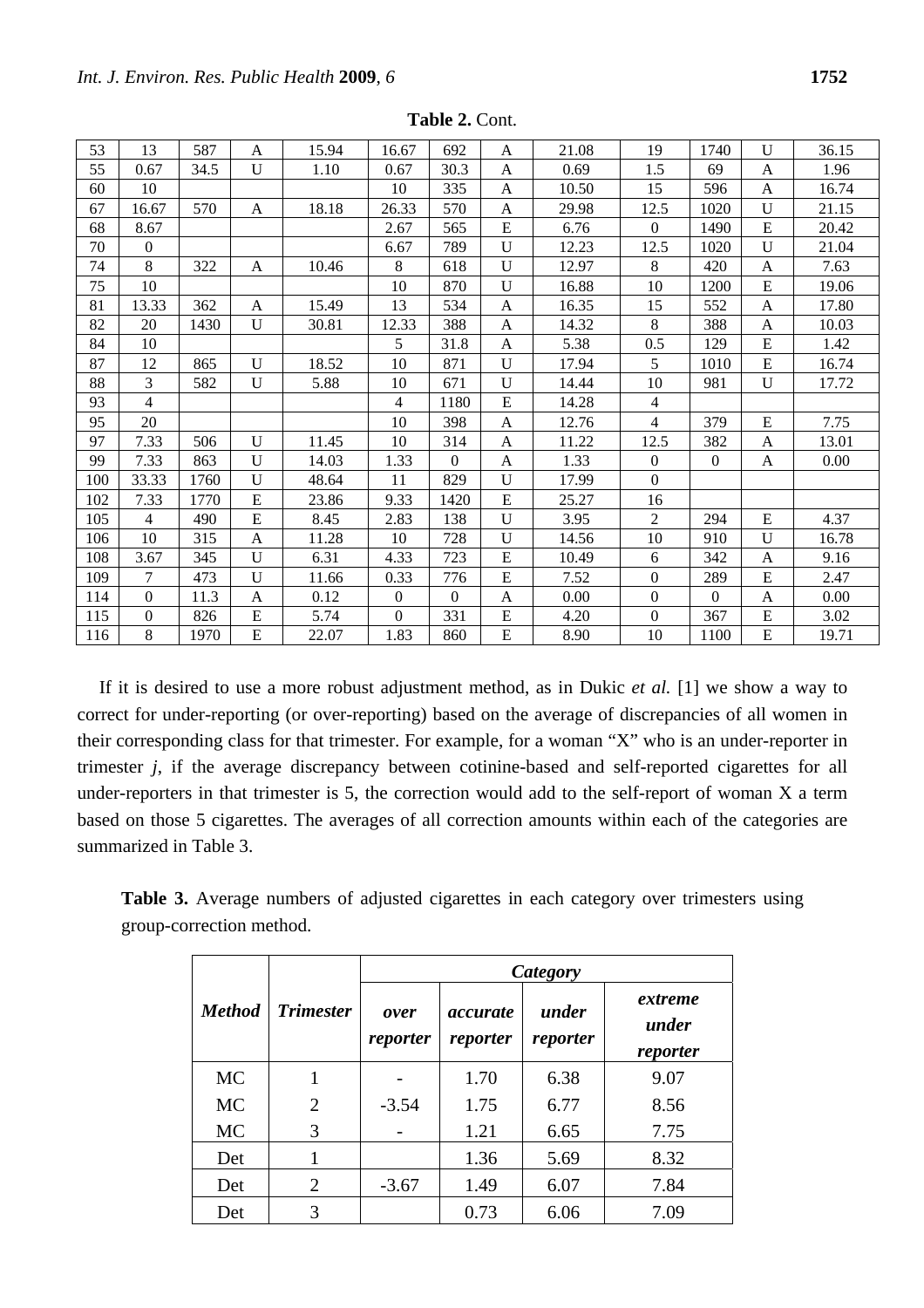| 53  | 13             | 587  | $\overline{A}$ | 15.94 | 16.67        | 692            | A            | 21.08 | 19               | 1740             | U         | 36.15 |
|-----|----------------|------|----------------|-------|--------------|----------------|--------------|-------|------------------|------------------|-----------|-------|
| 55  | 0.67           | 34.5 | $\mathbf U$    | 1.10  | 0.67         | 30.3           | $\mathbf{A}$ | 0.69  | 1.5              | 69               | A         | 1.96  |
| 60  | 10             |      |                |       | 10           | 335            | A            | 10.50 | 15               | 596              | A         | 16.74 |
| 67  | 16.67          | 570  | A              | 18.18 | 26.33        | 570            | A            | 29.98 | 12.5             | 1020             | U         | 21.15 |
| 68  | 8.67           |      |                |       | 2.67         | 565            | ${\bf E}$    | 6.76  | $\Omega$         | 1490             | E         | 20.42 |
| 70  | $\theta$       |      |                |       | 6.67         | 789            | U            | 12.23 | 12.5             | 1020             | U         | 21.04 |
| 74  | 8              | 322  | $\mathbf{A}$   | 10.46 | 8            | 618            | $\mathbf U$  | 12.97 | 8                | 420              | A         | 7.63  |
| 75  | 10             |      |                |       | 10           | 870            | U            | 16.88 | 10               | 1200             | E         | 19.06 |
| 81  | 13.33          | 362  | $\mathbf{A}$   | 15.49 | 13           | 534            | A            | 16.35 | 15               | 552              | A         | 17.80 |
| 82  | 20             | 1430 | $\mathbf U$    | 30.81 | 12.33        | 388            | $\mathbf{A}$ | 14.32 | 8                | 388              | A         | 10.03 |
| 84  | 10             |      |                |       | 5            | 31.8           | A            | 5.38  | 0.5              | 129              | E         | 1.42  |
| 87  | 12             | 865  | $\mathbf{U}$   | 18.52 | 10           | 871            | U            | 17.94 | 5                | 1010             | E         | 16.74 |
| 88  | 3              | 582  | $\mathbf{U}$   | 5.88  | 10           | 671            | U            | 14.44 | 10               | 981              | U         | 17.72 |
| 93  | $\overline{4}$ |      |                |       | 4            | 1180           | ${\bf E}$    | 14.28 | $\overline{4}$   |                  |           |       |
| 95  | 20             |      |                |       | 10           | 398            | A            | 12.76 | $\overline{4}$   | 379              | E         | 7.75  |
| 97  | 7.33           | 506  | $\mathbf U$    | 11.45 | 10           | 314            | A            | 11.22 | 12.5             | 382              | A         | 13.01 |
| 99  | 7.33           | 863  | $\mathbf U$    | 14.03 | 1.33         | $\overline{0}$ | $\mathbf{A}$ | 1.33  | $\overline{0}$   | $\boldsymbol{0}$ | A         | 0.00  |
| 100 | 33.33          | 1760 | U              | 48.64 | 11           | 829            | $\mathbf U$  | 17.99 | $\overline{0}$   |                  |           |       |
| 102 | 7.33           | 1770 | E              | 23.86 | 9.33         | 1420           | E            | 25.27 | 16               |                  |           |       |
| 105 | $\overline{4}$ | 490  | E              | 8.45  | 2.83         | 138            | $\mathbf U$  | 3.95  | $\overline{2}$   | 294              | ${\bf E}$ | 4.37  |
| 106 | 10             | 315  | A              | 11.28 | 10           | 728            | U            | 14.56 | 10               | 910              | U         | 16.78 |
| 108 | 3.67           | 345  | $\mathbf U$    | 6.31  | 4.33         | 723            | ${\bf E}$    | 10.49 | 6                | 342              | A         | 9.16  |
| 109 | $\tau$         | 473  | $\mathbf U$    | 11.66 | 0.33         | 776            | ${\bf E}$    | 7.52  | $\boldsymbol{0}$ | 289              | ${\bf E}$ | 2.47  |
| 114 | $\overline{0}$ | 11.3 | A              | 0.12  | $\mathbf{0}$ | $\theta$       | A            | 0.00  | $\mathbf{0}$     | $\mathbf{0}$     | A         | 0.00  |
| 115 | $\theta$       | 826  | E              | 5.74  | $\theta$     | 331            | ${\bf E}$    | 4.20  | $\Omega$         | 367              | ${\bf E}$ | 3.02  |
| 116 | 8              | 1970 | ${\bf E}$      | 22.07 | 1.83         | 860            | ${\bf E}$    | 8.90  | 10               | 1100             | E         | 19.71 |

**Table 2.** Cont.

If it is desired to use a more robust adjustment method, as in Dukic *et al.* [1] we show a way to correct for under-reporting (or over-reporting) based on the average of discrepancies of all women in their corresponding class for that trimester. For example, for a woman "X" who is an under-reporter in trimester *j*, if the average discrepancy between cotinine-based and self-reported cigarettes for all under-reporters in that trimester is 5, the correction would add to the self-report of woman X a term based on those 5 cigarettes. The averages of all correction amounts within each of the categories are summarized in Table 3.

**Table 3.** Average numbers of adjusted cigarettes in each category over trimesters using group-correction method.

|               |                  | Category         |                             |                   |                              |  |  |  |  |  |
|---------------|------------------|------------------|-----------------------------|-------------------|------------------------------|--|--|--|--|--|
| <b>Method</b> | <b>Trimester</b> | over<br>reporter | <i>accurate</i><br>reporter | under<br>reporter | extreme<br>under<br>reporter |  |  |  |  |  |
| <b>MC</b>     |                  |                  | 1.70                        | 6.38              | 9.07                         |  |  |  |  |  |
| <b>MC</b>     | $\overline{2}$   | $-3.54$          | 1.75                        | 6.77              | 8.56                         |  |  |  |  |  |
| <b>MC</b>     | 3                |                  | 1.21                        | 6.65              | 7.75                         |  |  |  |  |  |
| Det           |                  |                  | 1.36                        | 5.69              | 8.32                         |  |  |  |  |  |
| Det           | $\overline{2}$   | $-3.67$          | 1.49                        | 6.07              | 7.84                         |  |  |  |  |  |
| Det           | 3                |                  | 0.73                        | 6.06              | 7.09                         |  |  |  |  |  |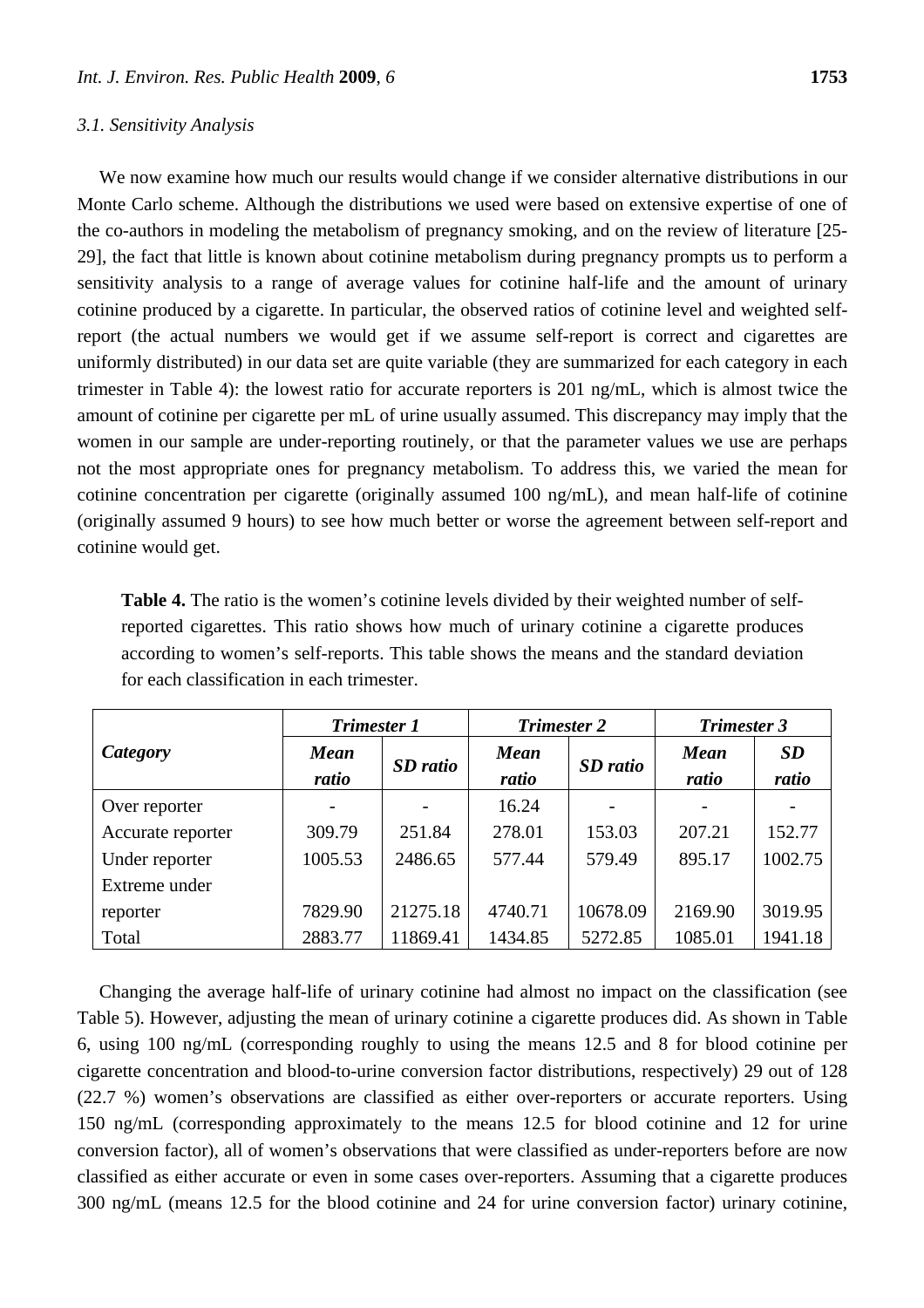#### *3.1. Sensitivity Analysis*

We now examine how much our results would change if we consider alternative distributions in our Monte Carlo scheme. Although the distributions we used were based on extensive expertise of one of the co-authors in modeling the metabolism of pregnancy smoking, and on the review of literature [25- 29], the fact that little is known about cotinine metabolism during pregnancy prompts us to perform a sensitivity analysis to a range of average values for cotinine half-life and the amount of urinary cotinine produced by a cigarette. In particular, the observed ratios of cotinine level and weighted selfreport (the actual numbers we would get if we assume self-report is correct and cigarettes are uniformly distributed) in our data set are quite variable (they are summarized for each category in each trimester in Table 4): the lowest ratio for accurate reporters is 201 ng/mL, which is almost twice the amount of cotinine per cigarette per mL of urine usually assumed. This discrepancy may imply that the women in our sample are under-reporting routinely, or that the parameter values we use are perhaps not the most appropriate ones for pregnancy metabolism. To address this, we varied the mean for cotinine concentration per cigarette (originally assumed 100 ng/mL), and mean half-life of cotinine (originally assumed 9 hours) to see how much better or worse the agreement between self-report and cotinine would get.

**Table 4.** The ratio is the women's cotinine levels divided by their weighted number of selfreported cigarettes. This ratio shows how much of urinary cotinine a cigarette produces according to women's self-reports. This table shows the means and the standard deviation for each classification in each trimester.

|                   | <b>Trimester 1</b>   |          | <b>Trimester 2</b>   |                          | <b>Trimester 3</b>   |                    |  |
|-------------------|----------------------|----------|----------------------|--------------------------|----------------------|--------------------|--|
| Category          | <b>Mean</b><br>ratio | SD ratio | <b>Mean</b><br>ratio | SD ratio                 | <b>Mean</b><br>ratio | <b>SD</b><br>ratio |  |
| Over reporter     |                      |          | 16.24                | $\overline{\phantom{0}}$ |                      |                    |  |
| Accurate reporter | 309.79               | 251.84   | 278.01               | 153.03                   | 207.21               | 152.77             |  |
| Under reporter    | 1005.53              | 2486.65  | 577.44               | 579.49                   | 895.17               | 1002.75            |  |
| Extreme under     |                      |          |                      |                          |                      |                    |  |
| reporter          | 7829.90              | 21275.18 | 4740.71              | 10678.09                 | 2169.90              | 3019.95            |  |
| Total             | 2883.77              | 11869.41 | 1434.85              | 5272.85                  | 1085.01              | 1941.18            |  |

Changing the average half-life of urinary cotinine had almost no impact on the classification (see Table 5). However, adjusting the mean of urinary cotinine a cigarette produces did. As shown in Table 6, using 100 ng/mL (corresponding roughly to using the means 12.5 and 8 for blood cotinine per cigarette concentration and blood-to-urine conversion factor distributions, respectively) 29 out of 128 (22.7 %) women's observations are classified as either over-reporters or accurate reporters. Using 150 ng/mL (corresponding approximately to the means 12.5 for blood cotinine and 12 for urine conversion factor), all of women's observations that were classified as under-reporters before are now classified as either accurate or even in some cases over-reporters. Assuming that a cigarette produces 300 ng/mL (means 12.5 for the blood cotinine and 24 for urine conversion factor) urinary cotinine,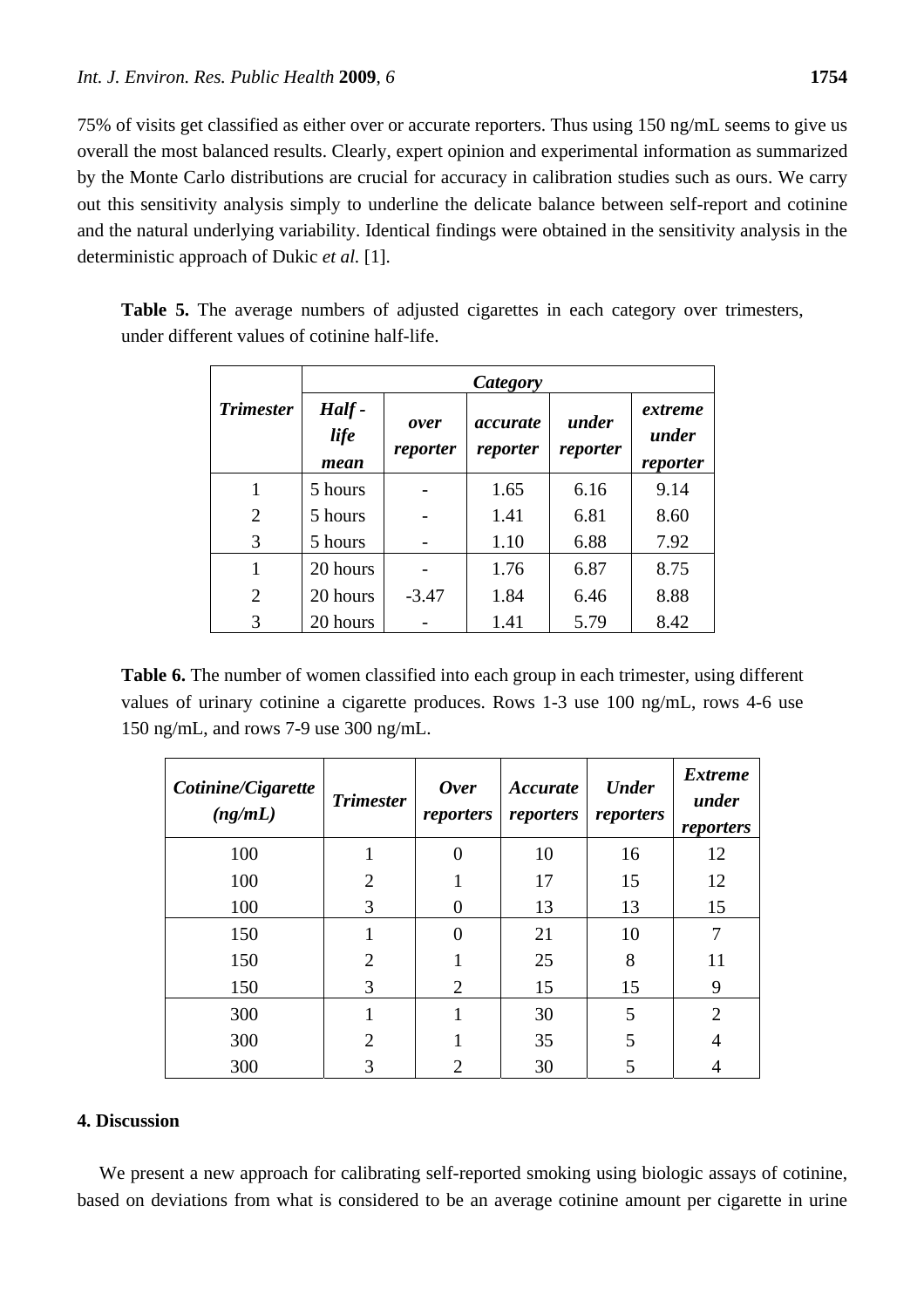75% of visits get classified as either over or accurate reporters. Thus using 150 ng/mL seems to give us overall the most balanced results. Clearly, expert opinion and experimental information as summarized by the Monte Carlo distributions are crucial for accuracy in calibration studies such as ours. We carry out this sensitivity analysis simply to underline the delicate balance between self-report and cotinine and the natural underlying variability. Identical findings were obtained in the sensitivity analysis in the deterministic approach of Dukic *et al.* [1].

|                  | Category                     |                  |                             |                   |                              |  |  |  |  |  |
|------------------|------------------------------|------------------|-----------------------------|-------------------|------------------------------|--|--|--|--|--|
| <b>Trimester</b> | Half-<br><i>life</i><br>mean | over<br>reporter | <i>accurate</i><br>reporter | under<br>reporter | extreme<br>under<br>reporter |  |  |  |  |  |
|                  | 5 hours                      |                  | 1.65                        | 6.16              | 9.14                         |  |  |  |  |  |
| $\overline{2}$   | 5 hours                      |                  | 1.41                        | 6.81              | 8.60                         |  |  |  |  |  |
| 3                | 5 hours                      |                  | 1.10                        | 6.88              | 7.92                         |  |  |  |  |  |
| 1                | 20 hours                     |                  | 1.76                        | 6.87              | 8.75                         |  |  |  |  |  |
| $\overline{2}$   | 20 hours                     | $-3.47$          | 1.84                        | 6.46              | 8.88                         |  |  |  |  |  |
| 3                | 20 hours                     |                  | 1.41                        | 5.79              | 8.42                         |  |  |  |  |  |

**Table 5.** The average numbers of adjusted cigarettes in each category over trimesters, under different values of cotinine half-life.

**Table 6.** The number of women classified into each group in each trimester, using different values of urinary cotinine a cigarette produces. Rows 1-3 use 100 ng/mL, rows 4-6 use 150 ng/mL, and rows 7-9 use 300 ng/mL.

| Cotinine/Cigarette<br>(ng/mL) | <b>Trimester</b> | <b>Over</b><br>reporters | Accurate<br>reporters | <b>Under</b><br>reporters | <b>Extreme</b><br>under<br>reporters |
|-------------------------------|------------------|--------------------------|-----------------------|---------------------------|--------------------------------------|
| 100                           |                  | $\theta$                 | 10                    | 16                        | 12                                   |
| 100                           | $\mathfrak{D}$   |                          | 17                    | 15                        | 12                                   |
| 100                           | 3                | $\Omega$                 | 13                    | 13                        | 15                                   |
| 150                           |                  | 0                        | 21                    | 10                        |                                      |
| 150                           | $\overline{2}$   |                          | 25                    | 8                         | 11                                   |
| 150                           | 3                | $\overline{2}$           | 15                    | 15                        | 9                                    |
| 300                           |                  |                          | 30                    | 5                         | $\overline{2}$                       |
| 300                           | $\overline{2}$   |                          | 35                    | 5                         |                                      |
| 300                           | 3                | $\overline{2}$           | 30                    | 5                         |                                      |

## **4. Discussion**

We present a new approach for calibrating self-reported smoking using biologic assays of cotinine, based on deviations from what is considered to be an average cotinine amount per cigarette in urine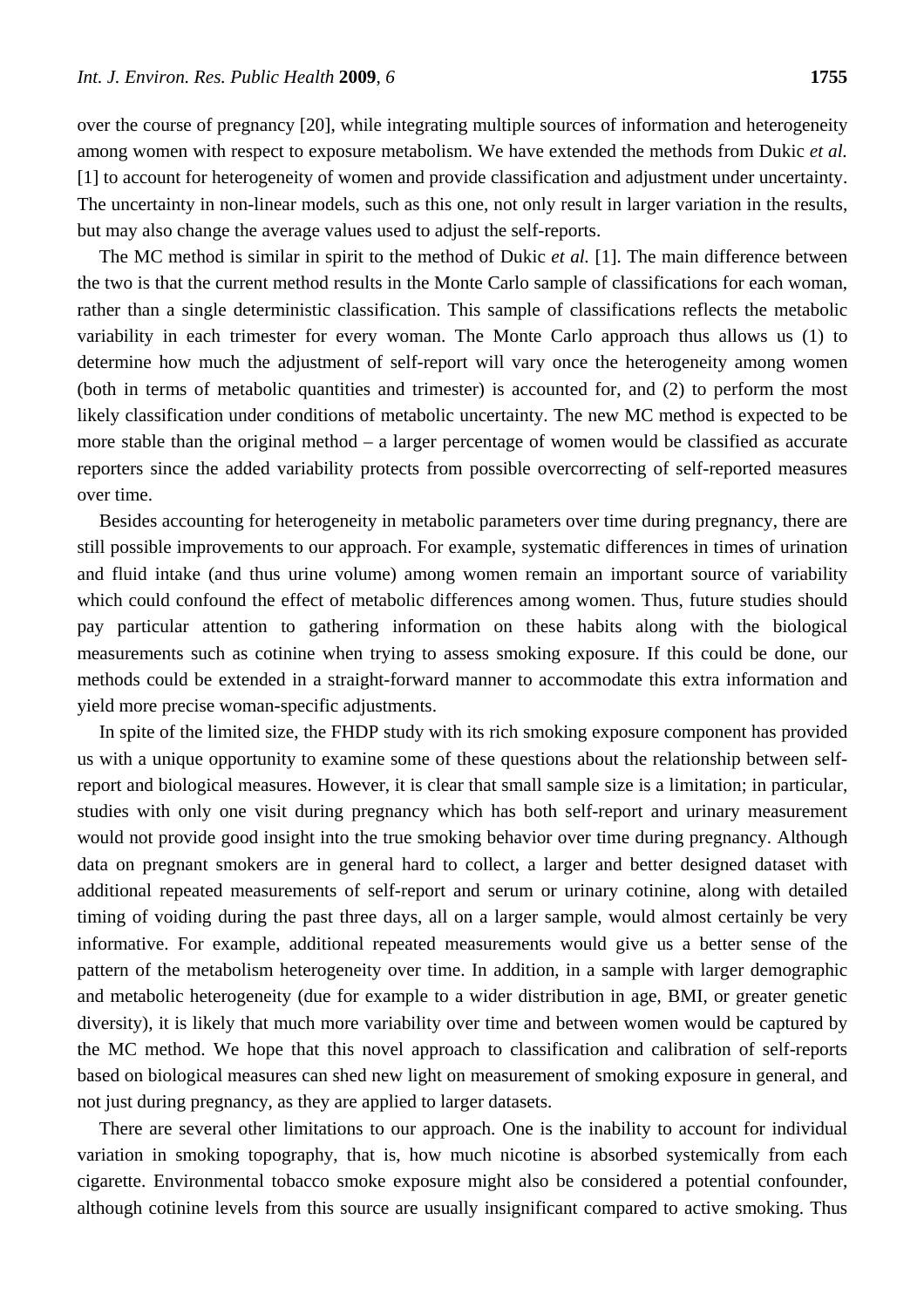over the course of pregnancy [20], while integrating multiple sources of information and heterogeneity among women with respect to exposure metabolism. We have extended the methods from Dukic *et al.* [1] to account for heterogeneity of women and provide classification and adjustment under uncertainty. The uncertainty in non-linear models, such as this one, not only result in larger variation in the results, but may also change the average values used to adjust the self-reports.

The MC method is similar in spirit to the method of Dukic *et al.* [1]. The main difference between the two is that the current method results in the Monte Carlo sample of classifications for each woman, rather than a single deterministic classification. This sample of classifications reflects the metabolic variability in each trimester for every woman. The Monte Carlo approach thus allows us (1) to determine how much the adjustment of self-report will vary once the heterogeneity among women (both in terms of metabolic quantities and trimester) is accounted for, and (2) to perform the most likely classification under conditions of metabolic uncertainty. The new MC method is expected to be more stable than the original method – a larger percentage of women would be classified as accurate reporters since the added variability protects from possible overcorrecting of self-reported measures over time.

Besides accounting for heterogeneity in metabolic parameters over time during pregnancy, there are still possible improvements to our approach. For example, systematic differences in times of urination and fluid intake (and thus urine volume) among women remain an important source of variability which could confound the effect of metabolic differences among women. Thus, future studies should pay particular attention to gathering information on these habits along with the biological measurements such as cotinine when trying to assess smoking exposure. If this could be done, our methods could be extended in a straight-forward manner to accommodate this extra information and yield more precise woman-specific adjustments.

In spite of the limited size, the FHDP study with its rich smoking exposure component has provided us with a unique opportunity to examine some of these questions about the relationship between selfreport and biological measures. However, it is clear that small sample size is a limitation; in particular, studies with only one visit during pregnancy which has both self-report and urinary measurement would not provide good insight into the true smoking behavior over time during pregnancy. Although data on pregnant smokers are in general hard to collect, a larger and better designed dataset with additional repeated measurements of self-report and serum or urinary cotinine, along with detailed timing of voiding during the past three days, all on a larger sample, would almost certainly be very informative. For example, additional repeated measurements would give us a better sense of the pattern of the metabolism heterogeneity over time. In addition, in a sample with larger demographic and metabolic heterogeneity (due for example to a wider distribution in age, BMI, or greater genetic diversity), it is likely that much more variability over time and between women would be captured by the MC method. We hope that this novel approach to classification and calibration of self-reports based on biological measures can shed new light on measurement of smoking exposure in general, and not just during pregnancy, as they are applied to larger datasets.

There are several other limitations to our approach. One is the inability to account for individual variation in smoking topography, that is, how much nicotine is absorbed systemically from each cigarette. Environmental tobacco smoke exposure might also be considered a potential confounder, although cotinine levels from this source are usually insignificant compared to active smoking. Thus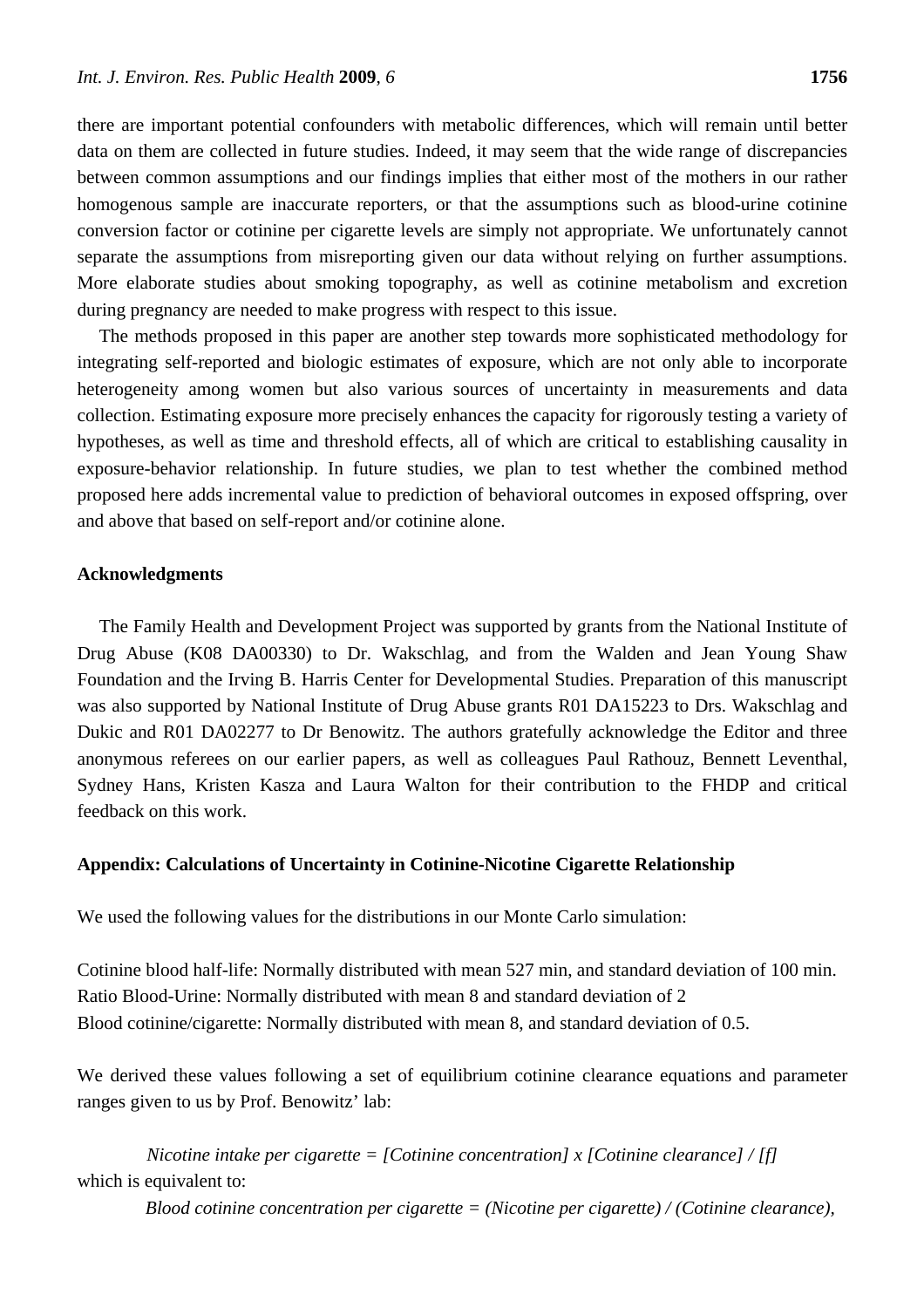there are important potential confounders with metabolic differences, which will remain until better data on them are collected in future studies. Indeed, it may seem that the wide range of discrepancies between common assumptions and our findings implies that either most of the mothers in our rather homogenous sample are inaccurate reporters, or that the assumptions such as blood-urine cotinine conversion factor or cotinine per cigarette levels are simply not appropriate. We unfortunately cannot separate the assumptions from misreporting given our data without relying on further assumptions. More elaborate studies about smoking topography, as well as cotinine metabolism and excretion during pregnancy are needed to make progress with respect to this issue.

The methods proposed in this paper are another step towards more sophisticated methodology for integrating self-reported and biologic estimates of exposure, which are not only able to incorporate heterogeneity among women but also various sources of uncertainty in measurements and data collection. Estimating exposure more precisely enhances the capacity for rigorously testing a variety of hypotheses, as well as time and threshold effects, all of which are critical to establishing causality in exposure-behavior relationship. In future studies, we plan to test whether the combined method proposed here adds incremental value to prediction of behavioral outcomes in exposed offspring, over and above that based on self-report and/or cotinine alone.

## **Acknowledgments**

The Family Health and Development Project was supported by grants from the National Institute of Drug Abuse (K08 DA00330) to Dr. Wakschlag, and from the Walden and Jean Young Shaw Foundation and the Irving B. Harris Center for Developmental Studies. Preparation of this manuscript was also supported by National Institute of Drug Abuse grants R01 DA15223 to Drs. Wakschlag and Dukic and R01 DA02277 to Dr Benowitz. The authors gratefully acknowledge the Editor and three anonymous referees on our earlier papers, as well as colleagues Paul Rathouz, Bennett Leventhal, Sydney Hans, Kristen Kasza and Laura Walton for their contribution to the FHDP and critical feedback on this work.

## **Appendix: Calculations of Uncertainty in Cotinine-Nicotine Cigarette Relationship**

We used the following values for the distributions in our Monte Carlo simulation:

Cotinine blood half-life: Normally distributed with mean 527 min, and standard deviation of 100 min. Ratio Blood-Urine: Normally distributed with mean 8 and standard deviation of 2 Blood cotinine/cigarette: Normally distributed with mean 8, and standard deviation of 0.5.

We derived these values following a set of equilibrium cotinine clearance equations and parameter ranges given to us by Prof. Benowitz' lab:

*Nicotine intake per cigarette = [Cotinine concentration] x [Cotinine clearance] / [f]*  which is equivalent to:

*Blood cotinine concentration per cigarette = (Nicotine per cigarette) / (Cotinine clearance),*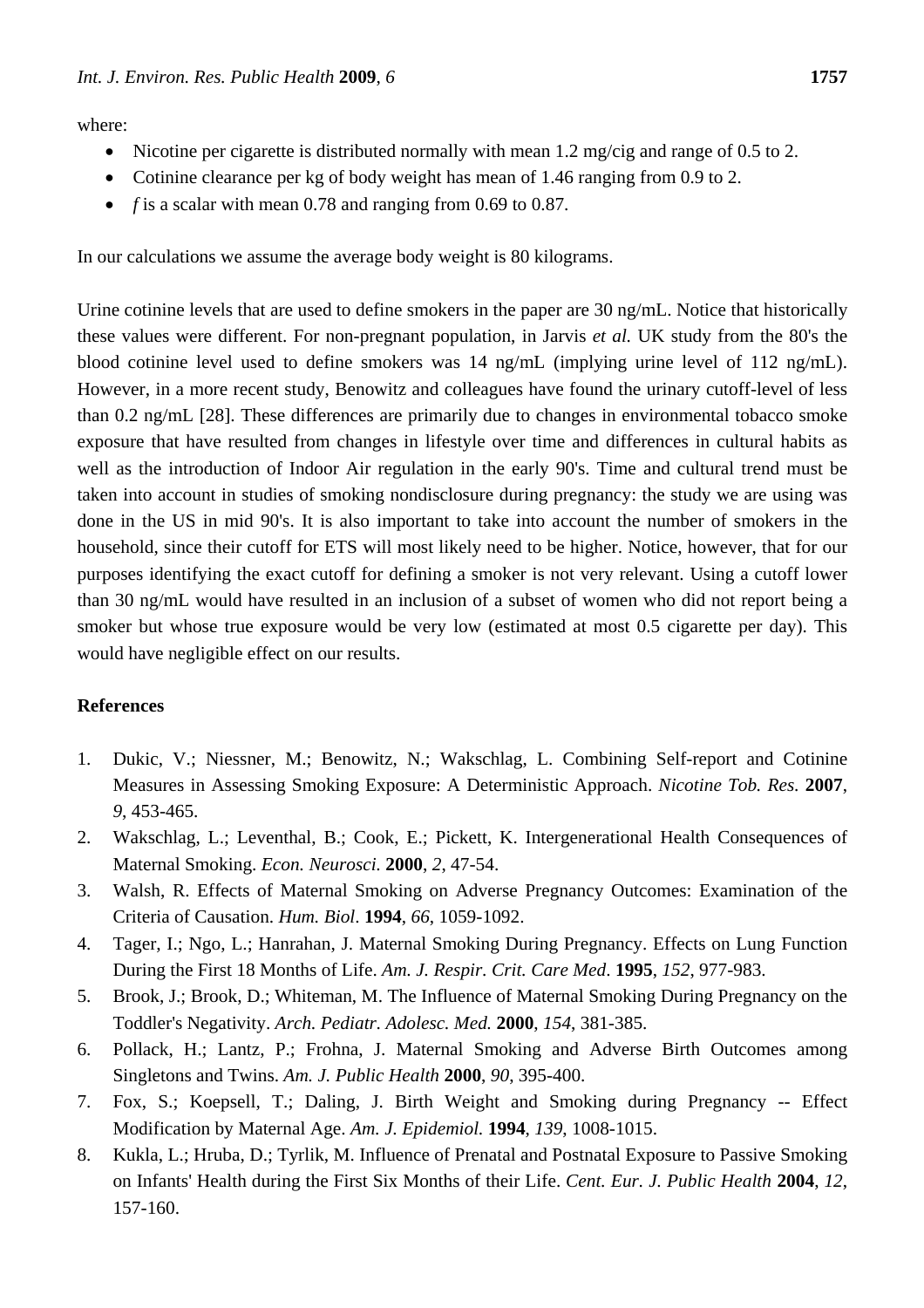where:

- Nicotine per cigarette is distributed normally with mean 1.2 mg/cig and range of 0.5 to 2.
- Cotinine clearance per kg of body weight has mean of 1.46 ranging from 0.9 to 2.
- *f* is a scalar with mean 0.78 and ranging from 0.69 to 0.87.

In our calculations we assume the average body weight is 80 kilograms.

Urine cotinine levels that are used to define smokers in the paper are 30 ng/mL. Notice that historically these values were different. For non-pregnant population, in Jarvis *et al.* UK study from the 80's the blood cotinine level used to define smokers was 14 ng/mL (implying urine level of 112 ng/mL). However, in a more recent study, Benowitz and colleagues have found the urinary cutoff-level of less than 0.2 ng/mL [28]. These differences are primarily due to changes in environmental tobacco smoke exposure that have resulted from changes in lifestyle over time and differences in cultural habits as well as the introduction of Indoor Air regulation in the early 90's. Time and cultural trend must be taken into account in studies of smoking nondisclosure during pregnancy: the study we are using was done in the US in mid 90's. It is also important to take into account the number of smokers in the household, since their cutoff for ETS will most likely need to be higher. Notice, however, that for our purposes identifying the exact cutoff for defining a smoker is not very relevant. Using a cutoff lower than 30 ng/mL would have resulted in an inclusion of a subset of women who did not report being a smoker but whose true exposure would be very low (estimated at most 0.5 cigarette per day). This would have negligible effect on our results.

## **References**

- 1. Dukic, V.; Niessner, M.; Benowitz, N.; Wakschlag, L. Combining Self-report and Cotinine Measures in Assessing Smoking Exposure: A Deterministic Approach. *Nicotine Tob. Res.* **2007**, *9*, 453-465.
- 2. Wakschlag, L.; Leventhal, B.; Cook, E.; Pickett, K. Intergenerational Health Consequences of Maternal Smoking. *Econ. Neurosci.* **2000**, *2*, 47-54.
- 3. Walsh, R. Effects of Maternal Smoking on Adverse Pregnancy Outcomes: Examination of the Criteria of Causation. *Hum. Biol*. **1994**, *66*, 1059-1092.
- 4. Tager, I.; Ngo, L.; Hanrahan, J. Maternal Smoking During Pregnancy. Effects on Lung Function During the First 18 Months of Life. *Am. J. Respir. Crit. Care Med*. **1995**, *152*, 977-983.
- 5. Brook, J.; Brook, D.; Whiteman, M. The Influence of Maternal Smoking During Pregnancy on the Toddler's Negativity. *Arch. Pediatr. Adolesc. Med.* **2000**, *154*, 381-385.
- 6. Pollack, H.; Lantz, P.; Frohna, J. Maternal Smoking and Adverse Birth Outcomes among Singletons and Twins. *Am. J. Public Health* **2000**, *90*, 395-400.
- 7. Fox, S.; Koepsell, T.; Daling, J. Birth Weight and Smoking during Pregnancy -- Effect Modification by Maternal Age. *Am. J. Epidemiol.* **1994**, *139*, 1008-1015.
- 8. Kukla, L.; Hruba, D.; Tyrlik, M. Influence of Prenatal and Postnatal Exposure to Passive Smoking on Infants' Health during the First Six Months of their Life. *Cent. Eur. J. Public Health* **2004**, *12*, 157-160.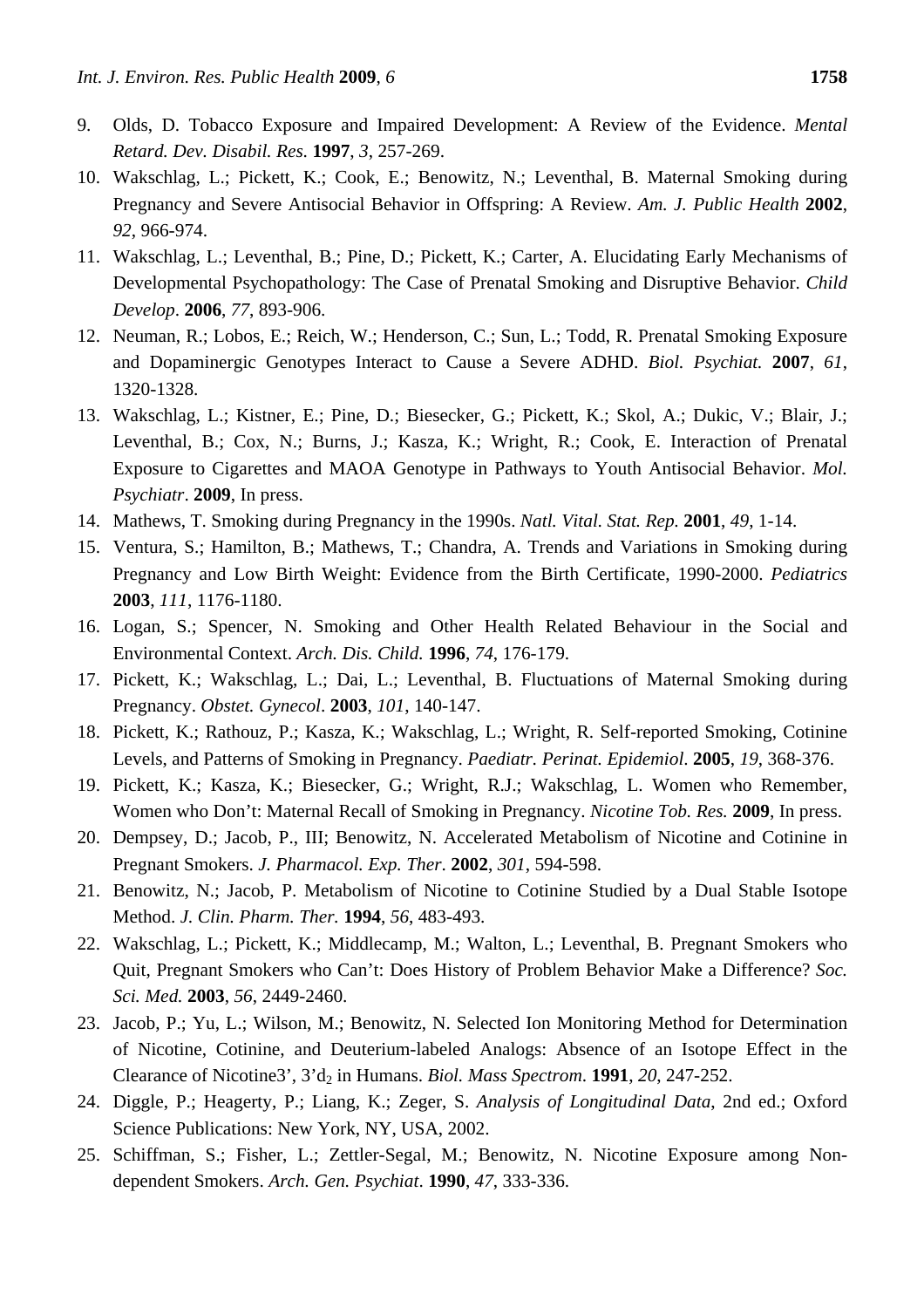- 9. Olds, D. Tobacco Exposure and Impaired Development: A Review of the Evidence. *Mental Retard. Dev. Disabil. Res.* **1997**, *3*, 257-269.
- 10. Wakschlag, L.; Pickett, K.; Cook, E.; Benowitz, N.; Leventhal, B. Maternal Smoking during Pregnancy and Severe Antisocial Behavior in Offspring: A Review. *Am. J. Public Health* **2002**, *92*, 966-974.
- 11. Wakschlag, L.; Leventhal, B.; Pine, D.; Pickett, K.; Carter, A. Elucidating Early Mechanisms of Developmental Psychopathology: The Case of Prenatal Smoking and Disruptive Behavior. *Child Develop*. **2006**, *77*, 893-906.
- 12. Neuman, R.; Lobos, E.; Reich, W.; Henderson, C.; Sun, L.; Todd, R. Prenatal Smoking Exposure and Dopaminergic Genotypes Interact to Cause a Severe ADHD. *Biol. Psychiat.* **2007**, *61*, 1320-1328.
- 13. Wakschlag, L.; Kistner, E.; Pine, D.; Biesecker, G.; Pickett, K.; Skol, A.; Dukic, V.; Blair, J.; Leventhal, B.; Cox, N.; Burns, J.; Kasza, K.; Wright, R.; Cook, E. Interaction of Prenatal Exposure to Cigarettes and MAOA Genotype in Pathways to Youth Antisocial Behavior. *Mol. Psychiatr*. **2009**, In press.
- 14. Mathews, T. Smoking during Pregnancy in the 1990s. *Natl. Vital. Stat. Rep.* **2001**, *49*, 1-14.
- 15. Ventura, S.; Hamilton, B.; Mathews, T.; Chandra, A. Trends and Variations in Smoking during Pregnancy and Low Birth Weight: Evidence from the Birth Certificate, 1990-2000. *Pediatrics* **2003**, *111*, 1176-1180.
- 16. Logan, S.; Spencer, N. Smoking and Other Health Related Behaviour in the Social and Environmental Context. *Arch. Dis. Child.* **1996**, *74*, 176-179.
- 17. Pickett, K.; Wakschlag, L.; Dai, L.; Leventhal, B. Fluctuations of Maternal Smoking during Pregnancy. *Obstet. Gynecol*. **2003**, *101*, 140-147.
- 18. Pickett, K.; Rathouz, P.; Kasza, K.; Wakschlag, L.; Wright, R. Self-reported Smoking, Cotinine Levels, and Patterns of Smoking in Pregnancy. *Paediatr. Perinat. Epidemiol*. **2005**, *19*, 368-376.
- 19. Pickett, K.; Kasza, K.; Biesecker, G.; Wright, R.J.; Wakschlag, L. Women who Remember, Women who Don't: Maternal Recall of Smoking in Pregnancy. *Nicotine Tob. Res.* **2009**, In press.
- 20. Dempsey, D.; Jacob, P., III; Benowitz, N. Accelerated Metabolism of Nicotine and Cotinine in Pregnant Smokers. *J. Pharmacol. Exp. Ther*. **2002**, *301*, 594-598.
- 21. Benowitz, N.; Jacob, P. Metabolism of Nicotine to Cotinine Studied by a Dual Stable Isotope Method. *J. Clin. Pharm. Ther.* **1994**, *56*, 483-493.
- 22. Wakschlag, L.; Pickett, K.; Middlecamp, M.; Walton, L.; Leventhal, B. Pregnant Smokers who Quit, Pregnant Smokers who Can't: Does History of Problem Behavior Make a Difference? *Soc. Sci. Med.* **2003**, *56*, 2449-2460.
- 23. Jacob, P.; Yu, L.; Wilson, M.; Benowitz, N. Selected Ion Monitoring Method for Determination of Nicotine, Cotinine, and Deuterium-labeled Analogs: Absence of an Isotope Effect in the Clearance of Nicotine3', 3'd<sub>2</sub> in Humans. *Biol. Mass Spectrom.* **1991**, 20, 247-252.
- 24. Diggle, P.; Heagerty, P.; Liang, K.; Zeger, S. *Analysis of Longitudinal Data*, 2nd ed.; Oxford Science Publications: New York, NY, USA, 2002.
- 25. Schiffman, S.; Fisher, L.; Zettler-Segal, M.; Benowitz, N. Nicotine Exposure among Nondependent Smokers. *Arch. Gen. Psychiat*. **1990**, *47*, 333-336.